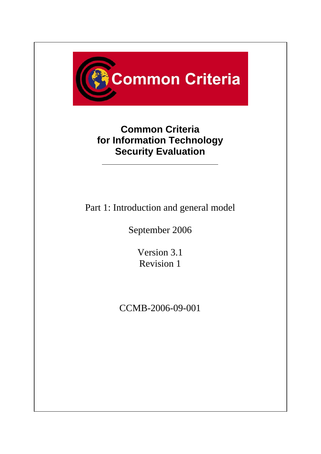

# **Common Criteria for Information Technology Security Evaluation**

Part 1: Introduction and general model

September 2006

Version 3.1 Revision 1

CCMB-2006-09-001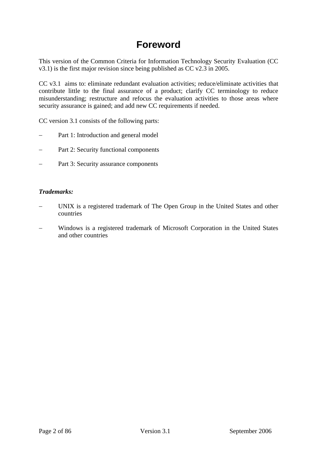## **Foreword**

This version of the Common Criteria for Information Technology Security Evaluation (CC v3.1) is the first major revision since being published as CC v2.3 in 2005.

CC v3.1 aims to: eliminate redundant evaluation activities; reduce/eliminate activities that contribute little to the final assurance of a product; clarify CC terminology to reduce misunderstanding; restructure and refocus the evaluation activities to those areas where security assurance is gained; and add new CC requirements if needed.

CC version 3.1 consists of the following parts:

- Part 1: Introduction and general model
- Part 2: Security functional components
- Part 3: Security assurance components

#### *Trademarks:*

- UNIX is a registered trademark of The Open Group in the United States and other countries
- − Windows is a registered trademark of Microsoft Corporation in the United States and other countries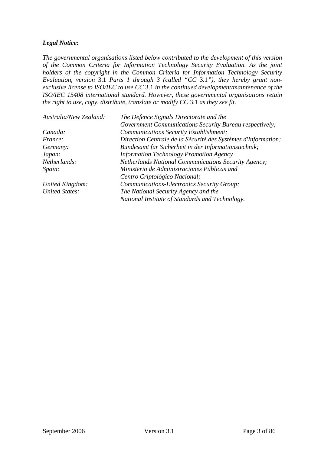### *Legal Notice:*

*The governmental organisations listed below contributed to the development of this version of the Common Criteria for Information Technology Security Evaluation. As the joint holders of the copyright in the Common Criteria for Information Technology Security Evaluation, version* 3.1 *Parts 1 through 3 (called "CC* 3.1*"), they hereby grant nonexclusive license to ISO/IEC to use CC* 3.1 *in the continued development/maintenance of the ISO/IEC 15408 international standard. However, these governmental organisations retain the right to use, copy, distribute, translate or modify CC* 3.1 *as they see fit.* 

| Australia/New Zealand: | The Defence Signals Directorate and the                       |  |
|------------------------|---------------------------------------------------------------|--|
|                        | Government Communications Security Bureau respectively;       |  |
| Canada:                | Communications Security Establishment;                        |  |
| <i>France:</i>         | Direction Centrale de la Sécurité des Systèmes d'Information; |  |
| Germany:               | Bundesamt für Sicherheit in der Informationstechnik;          |  |
| Japan:                 | <b>Information Technology Promotion Agency</b>                |  |
| Netherlands:           | <b>Netherlands National Communications Security Agency;</b>   |  |
| Spain:                 | Ministerio de Administraciones Públicas and                   |  |
|                        | Centro Criptológico Nacional;                                 |  |
| United Kingdom:        | Communications-Electronics Security Group;                    |  |
| <b>United States:</b>  | The National Security Agency and the                          |  |
|                        | National Institute of Standards and Technology.               |  |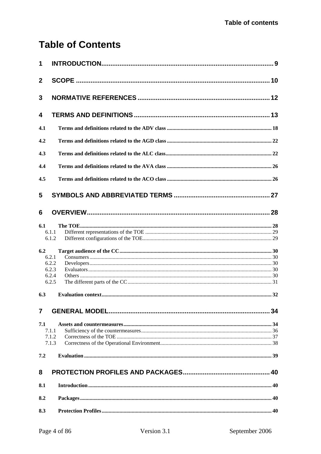# **Table of Contents**

| 1                |                |  |
|------------------|----------------|--|
| $\boldsymbol{2}$ |                |  |
| 3                |                |  |
| 4                |                |  |
| 4.1              |                |  |
| 4.2              |                |  |
| 4.3              |                |  |
| 4.4              |                |  |
| 4.5              |                |  |
| 5                |                |  |
| 6                |                |  |
| 6.1              |                |  |
|                  | 6.1.1          |  |
|                  | 6.1.2          |  |
| 6.2              |                |  |
|                  | 6.2.1          |  |
|                  | 6.2.2          |  |
|                  | 6.2.3<br>6.2.4 |  |
|                  | 6.2.5          |  |
| 6.3              |                |  |
|                  |                |  |
| $\overline{7}$   |                |  |
| 7.1              |                |  |
|                  | 7.1.1          |  |
|                  | 7.1.2          |  |
|                  | 7.1.3          |  |
| 7.2              |                |  |
| 8                |                |  |
| 8.1              |                |  |
| 8.2              |                |  |
| 8.3              |                |  |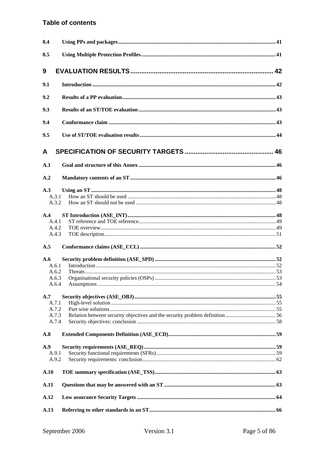### **Table of contents**

| 8.4  |                |  |
|------|----------------|--|
| 8.5  |                |  |
| 9    |                |  |
| 9.1  |                |  |
| 9.2  |                |  |
| 9.3  |                |  |
| 9.4  |                |  |
| 9.5  |                |  |
| A    |                |  |
| A.1  |                |  |
| A.2  |                |  |
| A.3  |                |  |
|      | A.3.1          |  |
|      | A.3.2          |  |
| A.4  |                |  |
|      | A.4.1          |  |
|      | A.4.2          |  |
|      | A.4.3          |  |
| A.5  |                |  |
| A.6  |                |  |
|      | A.6.1          |  |
|      | A.6.2          |  |
|      | A.6.3<br>A.6.4 |  |
|      |                |  |
| A.7  | A.7.1          |  |
|      | A.7.2          |  |
|      | A.7.3          |  |
|      | A.7.4          |  |
| A.8  |                |  |
| A.9  |                |  |
|      | A.9.1          |  |
|      | A.9.2          |  |
| A.10 |                |  |
| A.11 |                |  |
| A.12 |                |  |
| A.13 |                |  |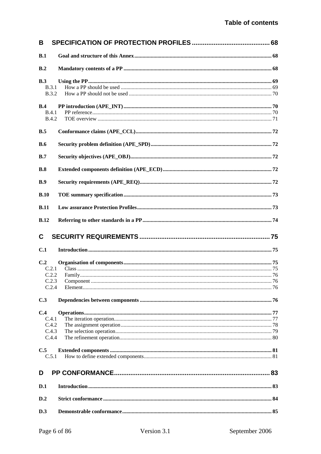| B                            |    |
|------------------------------|----|
| B.1                          |    |
| B.2                          |    |
| B.3                          |    |
| <b>B.3.1</b>                 |    |
| <b>B.3.2</b>                 |    |
| B.4                          |    |
| <b>B.4.1</b><br><b>B.4.2</b> |    |
|                              |    |
| B.5                          |    |
| B.6                          |    |
| B.7                          |    |
| B.8                          |    |
| B.9                          |    |
| B.10                         |    |
| B.11                         |    |
| <b>B.12</b>                  |    |
|                              |    |
| C                            |    |
| C.1                          |    |
| C.2                          |    |
| C.2.1                        |    |
| C.2.2                        |    |
| C.2.3                        | 76 |
| C.2.4<br>C.3                 |    |
|                              |    |
| C.4                          |    |
| C.4.1                        |    |
| C.4.2<br>C.4.3               |    |
| C.4.4                        |    |
| C.5                          |    |
| C.5.1                        |    |
| D                            |    |
| D.1                          |    |
| D.2                          |    |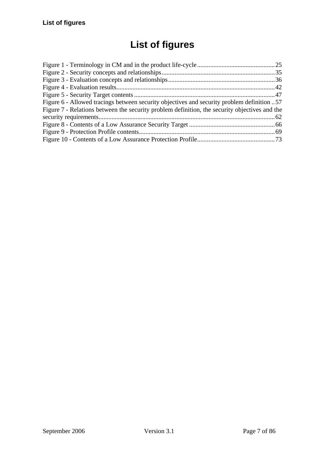# **List of figures**

| Figure 6 - Allowed tracings between security objectives and security problem definition 57    |  |
|-----------------------------------------------------------------------------------------------|--|
| Figure 7 - Relations between the security problem definition, the security objectives and the |  |
|                                                                                               |  |
|                                                                                               |  |
|                                                                                               |  |
|                                                                                               |  |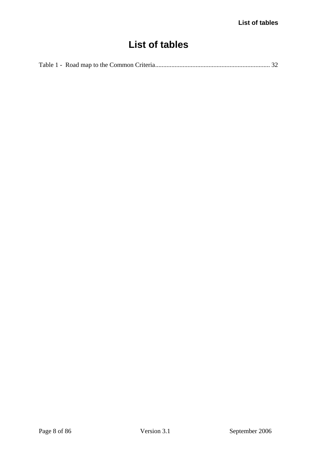# **List of tables**

|--|--|--|--|--|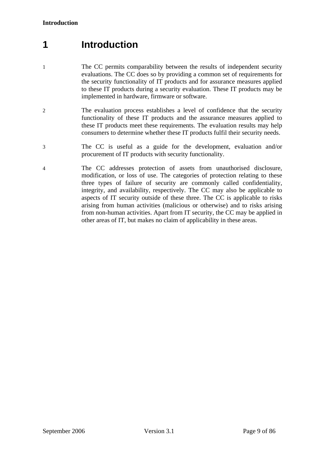# <span id="page-8-0"></span>**1 Introduction**

- 1 The CC permits comparability between the results of independent security evaluations. The CC does so by providing a common set of requirements for the security functionality of IT products and for assurance measures applied to these IT products during a security evaluation. These IT products may be implemented in hardware, firmware or software.
- 2 The evaluation process establishes a level of confidence that the security functionality of these IT products and the assurance measures applied to these IT products meet these requirements. The evaluation results may help consumers to determine whether these IT products fulfil their security needs.
- 3 The CC is useful as a guide for the development, evaluation and/or procurement of IT products with security functionality.
- 4 The CC addresses protection of assets from unauthorised disclosure, modification, or loss of use. The categories of protection relating to these three types of failure of security are commonly called confidentiality, integrity, and availability, respectively. The CC may also be applicable to aspects of IT security outside of these three. The CC is applicable to risks arising from human activities (malicious or otherwise) and to risks arising from non-human activities. Apart from IT security, the CC may be applied in other areas of IT, but makes no claim of applicability in these areas.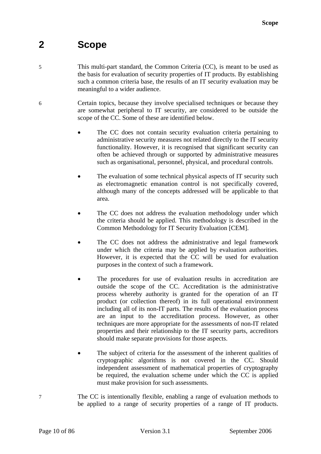# <span id="page-9-0"></span>**2 Scope**

- 5 This multi-part standard, the Common Criteria (CC), is meant to be used as the basis for evaluation of security properties of IT products. By establishing such a common criteria base, the results of an IT security evaluation may be meaningful to a wider audience.
- 6 Certain topics, because they involve specialised techniques or because they are somewhat peripheral to IT security, are considered to be outside the scope of the CC. Some of these are identified below.
	- The CC does not contain security evaluation criteria pertaining to administrative security measures not related directly to the IT security functionality. However, it is recognised that significant security can often be achieved through or supported by administrative measures such as organisational, personnel, physical, and procedural controls.
	- The evaluation of some technical physical aspects of IT security such as electromagnetic emanation control is not specifically covered, although many of the concepts addressed will be applicable to that area.
	- The CC does not address the evaluation methodology under which the criteria should be applied. This methodology is described in the Common Methodology for IT Security Evaluation [[CEM](#page-11-1)].
	- The CC does not address the administrative and legal framework under which the criteria may be applied by evaluation authorities. However, it is expected that the CC will be used for evaluation purposes in the context of such a framework.
	- The procedures for use of evaluation results in accreditation are outside the scope of the CC. Accreditation is the administrative process whereby authority is granted for the operation of an IT product (or collection thereof) in its full operational environment including all of its non-IT parts. The results of the evaluation process are an input to the accreditation process. However, as other techniques are more appropriate for the assessments of non-IT related properties and their relationship to the IT security parts, accreditors should make separate provisions for those aspects.
	- The subject of criteria for the assessment of the inherent qualities of cryptographic algorithms is not covered in the CC. Should independent assessment of mathematical properties of cryptography be required, the evaluation scheme under which the CC is applied must make provision for such assessments.
- 7 The CC is intentionally flexible, enabling a range of evaluation methods to be applied to a range of security properties of a range of IT products.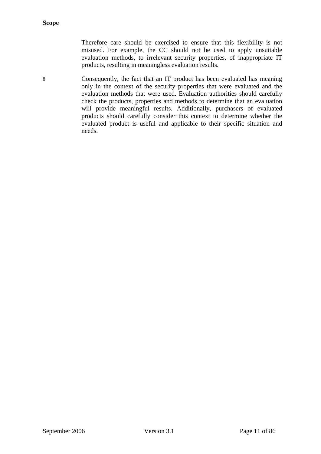Therefore care should be exercised to ensure that this flexibility is not misused. For example, the CC should not be used to apply unsuitable evaluation methods, to irrelevant security properties, of inappropriate IT products, resulting in meaningless evaluation results.

8 Consequently, the fact that an IT product has been evaluated has meaning only in the context of the security properties that were evaluated and the evaluation methods that were used. Evaluation authorities should carefully check the products, properties and methods to determine that an evaluation will provide meaningful results. Additionally, purchasers of evaluated products should carefully consider this context to determine whether the evaluated product is useful and applicable to their specific situation and needs.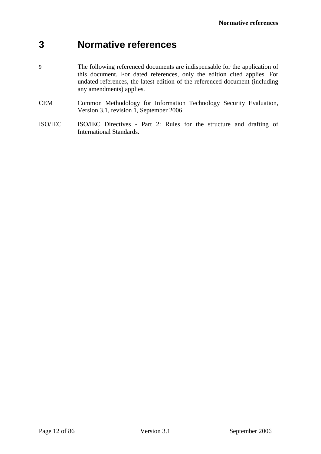# <span id="page-11-0"></span>**3 Normative references**

- 9 The following referenced documents are indispensable for the application of this document. For dated references, only the edition cited applies. For undated references, the latest edition of the referenced document (including any amendments) applies.
- <span id="page-11-1"></span>CEM Common Methodology for Information Technology Security Evaluation, Version 3.1, revision 1, September 2006.
- <span id="page-11-2"></span>ISO/IEC ISO/IEC Directives - Part 2: Rules for the structure and drafting of International Standards.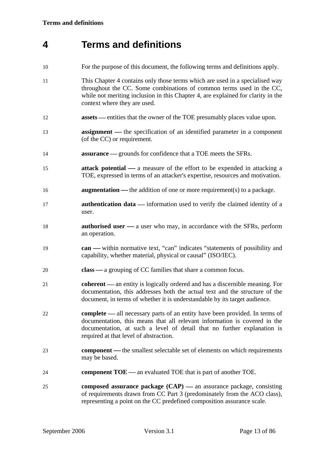# <span id="page-12-1"></span><span id="page-12-0"></span>**4 Terms and definitions**

- 10 For the purpose of this document, the following terms and definitions apply.
- 11 This Chapter [4](#page-12-1) contains only those terms which are used in a specialised way throughout the CC. Some combinations of common terms used in the CC, while not meriting inclusion in this Chapter [4](#page-12-1), are explained for clarity in the context where they are used.
- 12 **assets** entities that the owner of the TOE presumably places value upon.
- 13 **assignment** the specification of an identified parameter in a component (of the CC) or requirement.
- 14 **assurance** grounds for confidence that a TOE meets the SFRs.
- 15 **attack potential** a measure of the effort to be expended in attacking a TOE, expressed in terms of an attacker's expertise, resources and motivation.
- 16 **augmentation** the addition of one or more requirement(s) to a package.
- 17 **authentication data** information used to verify the claimed identity of a user.
- 18 **authorised user** a user who may, in accordance with the SFRs, perform an operation.
- 19 **can** within normative text, "can" indicates "statements of possibility and capability, whether material, physical or causal" ([ISO/IEC\)](#page-11-2).
- 20 **class** a grouping of CC families that share a common focus.
- 21 **coherent** an entity is logically ordered and has a discernible meaning. For documentation, this addresses both the actual text and the structure of the document, in terms of whether it is understandable by its target audience.
- 22 **complete** all necessary parts of an entity have been provided. In terms of documentation, this means that all relevant information is covered in the documentation, at such a level of detail that no further explanation is required at that level of abstraction.
- 23 **component** the smallest selectable set of elements on which requirements may be based.
- **component TOE** an evaluated TOE that is part of another TOE.
- 25 **composed assurance package (CAP)** an assurance package, consisting of requirements drawn from CC Part 3 (predominately from the [ACO](#page-85-0) class), representing a point on the CC predefined composition assurance scale.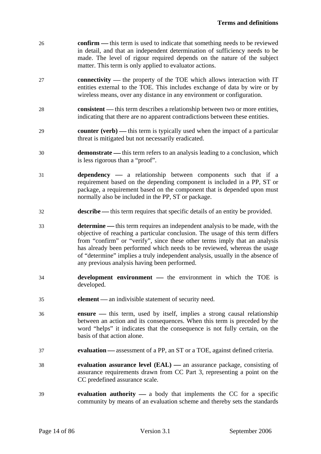| 26 | <b>confirm</b> — this term is used to indicate that something needs to be reviewed |
|----|------------------------------------------------------------------------------------|
|    | in detail, and that an independent determination of sufficiency needs to be        |
|    | made. The level of rigour required depends on the nature of the subject            |
|    | matter. This term is only applied to evaluator actions.                            |

- 27 **connectivity** the property of the TOE which allows interaction with IT entities external to the TOE. This includes exchange of data by wire or by wireless means, over any distance in any environment or configuration.
- 28 **consistent** this term describes a relationship between two or more entities, indicating that there are no apparent contradictions between these entities.
- 29 **counter (verb)** this term is typically used when the impact of a particular threat is mitigated but not necessarily eradicated.
- 30 **demonstrate** ⎯ this term refers to an analysis leading to a conclusion, which is less rigorous than a "proof".
- 31 **dependency** a relationship between components such that if a requirement based on the depending component is included in a PP, ST or package, a requirement based on the component that is depended upon must normally also be included in the PP, ST or package.
- 32 **describe** this term requires that specific details of an entity be provided.
- 33 **determine** this term requires an independent analysis to be made, with the objective of reaching a particular conclusion. The usage of this term differs from "confirm" or "verify", since these other terms imply that an analysis has already been performed which needs to be reviewed, whereas the usage of "determine" implies a truly independent analysis, usually in the absence of any previous analysis having been performed.
- 34 **development environment** the environment in which the TOE is developed.
- 35 **element** an indivisible statement of security need.
- 36 **ensure** this term, used by itself, implies a strong causal relationship between an action and its consequences. When this term is preceded by the word "helps" it indicates that the consequence is not fully certain, on the basis of that action alone.
- 37 **evaluation** assessment of a PP, an ST or a TOE, against defined criteria.
- 38 **evaluation assurance level (EAL)** an assurance package, consisting of assurance requirements drawn from CC Part 3, representing a point on the CC predefined assurance scale.
- 39 **evaluation authority** a body that implements the CC for a specific community by means of an evaluation scheme and thereby sets the standards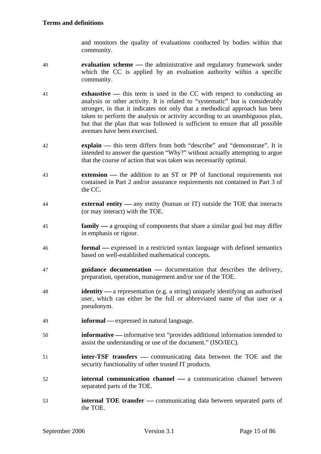and monitors the quality of evaluations conducted by bodies within that community.

- 40 **evaluation scheme** the administrative and regulatory framework under which the CC is applied by an evaluation authority within a specific community.
- 41 **exhaustive** this term is used in the CC with respect to conducting an analysis or other activity. It is related to "systematic" but is considerably stronger, in that it indicates not only that a methodical approach has been taken to perform the analysis or activity according to an unambiguous plan, but that the plan that was followed is sufficient to ensure that all possible avenues have been exercised.
- 42 **explain** this term differs from both "describe" and "demonstrate". It is intended to answer the question "Why?" without actually attempting to argue that the course of action that was taken was necessarily optimal.
- 43 **extension** the addition to an ST or PP of functional requirements not contained in Part 2 and/or assurance requirements not contained in Part 3 of the CC.
- <span id="page-14-0"></span>44 **external entity** — any entity (human or IT) outside the TOE that interacts (or may interact) with the TOE.
- 45 **family** a grouping of components that share a similar goal but may differ in emphasis or rigour.
- 46 **formal** expressed in a restricted syntax language with defined semantics based on well-established mathematical concepts.
- 47 **guidance documentation** documentation that describes the delivery, preparation, operation, management and/or use of the TOE.
- 48 **identity** a representation (e.g. a string) uniquely identifying an authorised user, which can either be the full or abbreviated name of that user or a pseudonym.
- 49 **informal** expressed in natural language.
- 50 **informative** informative text "provides additional information intended to assist the understanding or use of the document." [\(ISO/IEC](#page-11-2)).
- 51 **inter-TSF transfers** communicating data between the TOE and the security functionality of other trusted IT products.
- 52 **internal communication channel** a communication channel between separated parts of the TOE.
- 53 **internal TOE transfer** communicating data between separated parts of the TOE.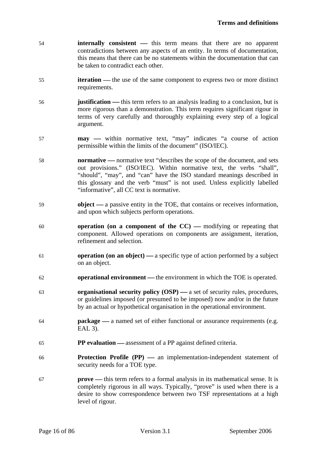- 54 **internally consistent** this term means that there are no apparent contradictions between any aspects of an entity. In terms of documentation, this means that there can be no statements within the documentation that can be taken to contradict each other.
- 55 **iteration** the use of the same component to express two or more distinct requirements.
- **justification** this term refers to an analysis leading to a conclusion, but is more rigorous than a demonstration. This term requires significant rigour in terms of very carefully and thoroughly explaining every step of a logical argument.
- 57 **may** within normative text, "may" indicates "a course of action permissible within the limits of the document" [\(ISO/IEC](#page-11-2)).
- 58 **normative** normative text "describes the scope of the document, and sets out provisions." [\(ISO/IEC](#page-11-2)). Within normative text, the verbs "shall", "should", "may", and "can" have the ISO standard meanings described in this glossary and the verb "must" is not used. Unless explicitly labelled "informative", all CC text is normative.
- 59 **object** a passive entity in the TOE, that contains or receives information, and upon which subjects perform operations.
- 60 **operation** (on a component of the CC) modifying or repeating that component. Allowed operations on components are assignment, iteration, refinement and selection.
- 61 **operation (on an object)** a specific type of action performed by a subject on an object.
- 62 **operational environment** the environment in which the TOE is operated.
- 63 **organisational security policy (OSP)** a set of security rules, procedures, or guidelines imposed (or presumed to be imposed) now and/or in the future by an actual or hypothetical organisation in the operational environment.
- 64 **package** a named set of either functional or assurance requirements (e.g. EAL 3).
- 65 **PP evaluation** assessment of a PP against defined criteria.
- 66 **Protection Profile (PP)** an implementation-independent statement of security needs for a TOE type.
- 67 **prove** ⎯ this term refers to a formal analysis in its mathematical sense. It is completely rigorous in all ways. Typically, "prove" is used when there is a desire to show correspondence between two TSF representations at a high level of rigour.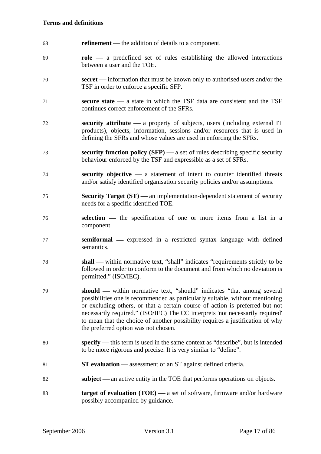- 68 **refinement** the addition of details to a component.
- 69 **role** ⎯ a predefined set of rules establishing the allowed interactions between a user and the TOE.
- 70 **secret** information that must be known only to authorised users and/or the TSF in order to enforce a specific SFP.
- 71 **secure state** ⎯ a state in which the TSF data are consistent and the TSF continues correct enforcement of the SFRs.
- 72 **security attribute** a property of subjects, users (including external IT products), objects, information, sessions and/or resources that is used in defining the SFRs and whose values are used in enforcing the SFRs.
- **random security function policy (SFP)** a set of rules describing specific security behaviour enforced by the TSF and expressible as a set of SFRs.
- **random security objective** a statement of intent to counter identified threats and/or satisfy identified organisation security policies and/or assumptions.
- **Security Target (ST)** an implementation-dependent statement of security needs for a specific identified TOE.
- 76 **selection** the specification of one or more items from a list in a component.
- 77 **semiformal** expressed in a restricted syntax language with defined semantics.
- 78 **shall** within normative text, "shall" indicates "requirements strictly to be followed in order to conform to the document and from which no deviation is permitted." ([ISO/IEC\)](#page-11-2).
- 79 **should** within normative text, "should" indicates "that among several possibilities one is recommended as particularly suitable, without mentioning or excluding others, or that a certain course of action is preferred but not necessarily required." ([ISO/IEC\)](#page-11-2) The CC interprets 'not necessarily required' to mean that the choice of another possibility requires a justification of why the preferred option was not chosen.
- 80 **specify** this term is used in the same context as "describe", but is intended to be more rigorous and precise. It is very similar to "define".
- 81 **ST evaluation** assessment of an ST against defined criteria.
- 82 **subject** an active entity in the TOE that performs operations on objects.
- 83 **target of evaluation (TOE)** a set of software, firmware and/or hardware possibly accompanied by guidance.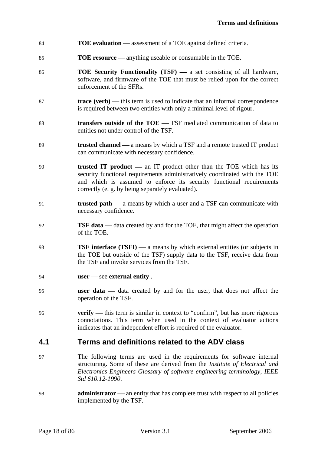- <span id="page-17-0"></span>84 **TOE evaluation** — assessment of a TOE against defined criteria.
- 85 **TOE resource** anything useable or consumable in the TOE.
- 86 **TOE Security Functionality (TSF)** a set consisting of all hardware, software, and firmware of the TOE that must be relied upon for the correct enforcement of the SFRs.
- 87 **trace (verb)** this term is used to indicate that an informal correspondence is required between two entities with only a minimal level of rigour.
- 88 **transfers outside of the TOE** TSF mediated communication of data to entities not under control of the TSF.
- 89 **trusted channel** a means by which a TSF and a remote trusted IT product can communicate with necessary confidence.
- 90 **trusted IT product** an IT product other than the TOE which has its security functional requirements administratively coordinated with the TOE and which is assumed to enforce its security functional requirements correctly (e. g. by being separately evaluated).
- 91 **trusted path** a means by which a user and a TSF can communicate with necessary confidence.
- 92 **TSF data** data created by and for the TOE, that might affect the operation of the TOE.
- 93 **TSF interface (TSFI)** a means by which external entities (or subjects in the TOE but outside of the TSF) supply data to the TSF, receive data from the TSF and invoke services from the TSF.
- 94 **user** see **external entity**.
- 95 **user data** data created by and for the user, that does not affect the operation of the TSF.
- 96 **verify** this term is similar in context to "confirm", but has more rigorous connotations. This term when used in the context of evaluator actions indicates that an independent effort is required of the evaluator.

### **4.1 Terms and definitions related to the ADV class**

- 97 The following terms are used in the requirements for software internal structuring. Some of these are derived from the *Institute of Electrical and Electronics Engineers Glossary of software engineering terminology, IEEE Std 610.12-1990*.
- 98 **administrator** an entity that has complete trust with respect to all policies implemented by the TSF.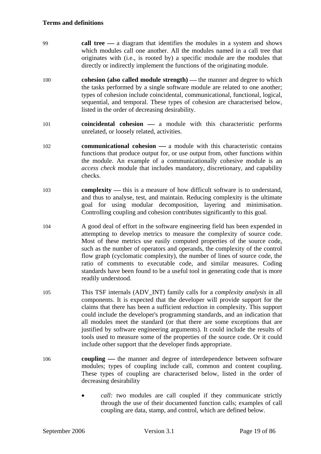- 99 **call tree** ⎯ a diagram that identifies the modules in a system and shows which modules call one another. All the modules named in a call tree that originates with (i.e., is rooted by) a specific module are the modules that directly or indirectly implement the functions of the originating module.
- 100 **cohesion (also called module strength)** the manner and degree to which the tasks performed by a single software module are related to one another; types of cohesion include coincidental, communicational, functional, logical, sequential, and temporal. These types of cohesion are characterised below, listed in the order of decreasing desirability.
- 101 **coincidental cohesion** a module with this characteristic performs unrelated, or loosely related, activities.
- 102 **communicational cohesion** a module with this characteristic contains functions that produce output for, or use output from, other functions within the module. An example of a communicationally cohesive module is an *access check* module that includes mandatory, discretionary, and capability checks.
- 103 **complexity** this is a measure of how difficult software is to understand, and thus to analyse, test, and maintain. Reducing complexity is the ultimate goal for using modular decomposition, layering and minimisation. Controlling coupling and cohesion contributes significantly to this goal.
- 104 A good deal of effort in the software engineering field has been expended in attempting to develop metrics to measure the complexity of source code. Most of these metrics use easily computed properties of the source code, such as the number of operators and operands, the complexity of the control flow graph (cyclomatic complexity), the number of lines of source code, the ratio of comments to executable code, and similar measures. Coding standards have been found to be a useful tool in generating code that is more readily understood.
- 105 This [TSF internals \(ADV\\_INT\)](#page-85-1) family calls for a *complexity analysis* in all components. It is expected that the developer will provide support for the claims that there has been a sufficient reduction in complexity. This support could include the developer's programming standards, and an indication that all modules meet the standard (or that there are some exceptions that are justified by software engineering arguments). It could include the results of tools used to measure some of the properties of the source code. Or it could include other support that the developer finds appropriate.
- 106 **coupling** the manner and degree of interdependence between software modules; types of coupling include call, common and content coupling. These types of coupling are characterised below, listed in the order of decreasing desirability
	- *call:* two modules are call coupled if they communicate strictly through the use of their documented function calls; examples of call coupling are data, stamp, and control, which are defined below.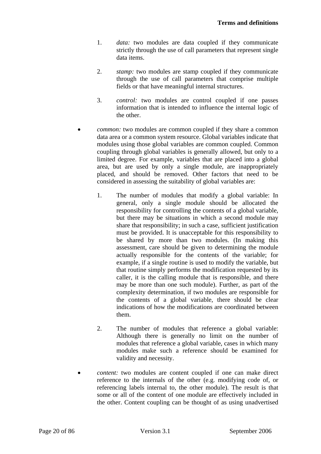- 1. *data:* two modules are data coupled if they communicate strictly through the use of call parameters that represent single data items.
- 2. *stamp:* two modules are stamp coupled if they communicate through the use of call parameters that comprise multiple fields or that have meaningful internal structures.
- 3. *control:* two modules are control coupled if one passes information that is intended to influence the internal logic of the other.
- *common:* two modules are common coupled if they share a common data area or a common system resource. Global variables indicate that modules using those global variables are common coupled. Common coupling through global variables is generally allowed, but only to a limited degree. For example, variables that are placed into a global area, but are used by only a single module, are inappropriately placed, and should be removed. Other factors that need to be considered in assessing the suitability of global variables are:
	- 1. The number of modules that modify a global variable: In general, only a single module should be allocated the responsibility for controlling the contents of a global variable, but there may be situations in which a second module may share that responsibility; in such a case, sufficient justification must be provided. It is unacceptable for this responsibility to be shared by more than two modules. (In making this assessment, care should be given to determining the module actually responsible for the contents of the variable; for example, if a single routine is used to modify the variable, but that routine simply performs the modification requested by its caller, it is the calling module that is responsible, and there may be more than one such module). Further, as part of the complexity determination, if two modules are responsible for the contents of a global variable, there should be clear indications of how the modifications are coordinated between them.
	- 2. The number of modules that reference a global variable: Although there is generally no limit on the number of modules that reference a global variable, cases in which many modules make such a reference should be examined for validity and necessity.
- *content:* two modules are content coupled if one can make direct reference to the internals of the other (e.g. modifying code of, or referencing labels internal to, the other module). The result is that some or all of the content of one module are effectively included in the other. Content coupling can be thought of as using unadvertised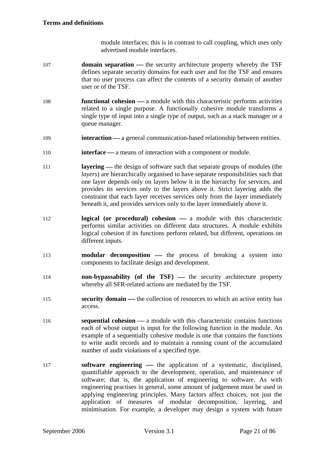module interfaces; this is in contrast to call coupling, which uses only advertised module interfaces.

- 107 **domain separation** the security architecture property whereby the TSF defines separate security domains for each user and for the TSF and ensures that no user process can affect the contents of a security domain of another user or of the TSF.
- 108 **functional cohesion** a module with this characteristic performs activities related to a single purpose. A functionally cohesive module transforms a single type of input into a single type of output, such as a stack manager or a queue manager.
- 109 **interaction** a general communication-based relationship between entities.
- 110 **interface** a means of interaction with a component or module.
- 111 **layering** the design of software such that separate groups of modules (the *layers*) are hierarchically organised to have separate responsibilities such that one layer depends only on layers below it in the hierarchy for services, and provides its services only to the layers above it. Strict layering adds the constraint that each layer receives services only from the layer immediately beneath it, and provides services only to the layer immediately above it.
- 112 **logical (or procedural) cohesion** a module with this characteristic performs similar activities on different data structures. A module exhibits logical cohesion if its functions perform related, but different, operations on different inputs.
- 113 **modular decomposition** the process of breaking a system into components to facilitate design and development.
- 114 **non-bypassability** (of the TSF) the security architecture property whereby all SFR-related actions are mediated by the TSF.
- 115 **security domain** the collection of resources to which an active entity has access.
- 116 **sequential cohesion** a module with this characteristic contains functions each of whose output is input for the following function in the module. An example of a sequentially cohesive module is one that contains the functions to write audit records and to maintain a running count of the accumulated number of audit violations of a specified type.
- 117 **software engineering** the application of a systematic, disciplined, quantifiable approach to the development, operation, and maintenance of software; that is, the application of engineering to software. As with engineering practises in general, some amount of judgement must be used in applying engineering principles. Many factors affect choices, not just the application of measures of modular decomposition, layering, and minimisation. For example, a developer may design a system with future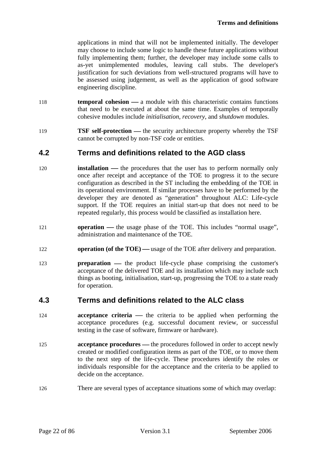<span id="page-21-0"></span>applications in mind that will not be implemented initially. The developer may choose to include some logic to handle these future applications without fully implementing them; further, the developer may include some calls to as-yet unimplemented modules, leaving call stubs. The developer's justification for such deviations from well-structured programs will have to be assessed using judgement, as well as the application of good software engineering discipline.

- 118 **temporal cohesion** a module with this characteristic contains functions that need to be executed at about the same time. Examples of temporally cohesive modules include *initialisation*, *recovery*, and *shutdown* modules.
- 119 **TSF self-protection** the security architecture property whereby the TSF cannot be corrupted by non-TSF code or entities.

### **4.2 Terms and definitions related to the AGD class**

- 120 **installation** the procedures that the user has to perform normally only once after receipt and acceptance of the TOE to progress it to the secure configuration as described in the ST including the embedding of the TOE in its operational environment. If similar processes have to be performed by the developer they are denoted as "generation" throughout [ALC: Life-cycle](#page-85-1)  [support](#page-85-1). If the TOE requires an initial start-up that does not need to be repeated regularly, this process would be classified as installation here.
- 121 **operation** the usage phase of the TOE. This includes "normal usage", administration and maintenance of the TOE.
- 122 **operation (of the TOE)** usage of the TOE after delivery and preparation.
- 123 **preparation** the product life-cycle phase comprising the customer's acceptance of the delivered TOE and its installation which may include such things as booting, initialisation, start-up, progressing the TOE to a state ready for operation.

### **4.3 Terms and definitions related to the ALC class**

- 124 **acceptance criteria** the criteria to be applied when performing the acceptance procedures (e.g. successful document review, or successful testing in the case of software, firmware or hardware).
- 125 **acceptance procedures** the procedures followed in order to accept newly created or modified configuration items as part of the TOE, or to move them to the next step of the life-cycle. These procedures identify the roles or individuals responsible for the acceptance and the criteria to be applied to decide on the acceptance.
- 126 There are several types of acceptance situations some of which may overlap: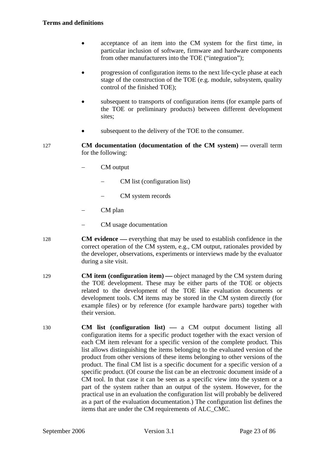#### **Terms and definitions**

- acceptance of an item into the CM system for the first time, in particular inclusion of software, firmware and hardware components from other manufacturers into the TOE ("integration");
- progression of configuration items to the next life-cycle phase at each stage of the construction of the TOE (e.g. module, subsystem, quality control of the finished TOE);
- subsequent to transports of configuration items (for example parts of the TOE or preliminary products) between different development sites;
- subsequent to the delivery of the TOE to the consumer.
- 127 **CM documentation (documentation of the CM system)** overall term for the following:
	- − CM output
		- − CM list (configuration list)
		- − CM system records
	- CM plan
	- − CM usage documentation
- 128 **CM evidence** everything that may be used to establish confidence in the correct operation of the CM system, e.g., CM output, rationales provided by the developer, observations, experiments or interviews made by the evaluator during a site visit.
- 129 **CM item (configuration item)** object managed by the CM system during the TOE development. These may be either parts of the TOE or objects related to the development of the TOE like evaluation documents or development tools. CM items may be stored in the CM system directly (for example files) or by reference (for example hardware parts) together with their version.
- 130 **CM list (configuration list)** a CM output document listing all configuration items for a specific product together with the exact version of each CM item relevant for a specific version of the complete product. This list allows distinguishing the items belonging to the evaluated version of the product from other versions of these items belonging to other versions of the product. The final CM list is a specific document for a specific version of a specific product. (Of course the list can be an electronic document inside of a CM tool. In that case it can be seen as a specific view into the system or a part of the system rather than an output of the system. However, for the practical use in an evaluation the configuration list will probably be delivered as a part of the evaluation documentation.) The configuration list defines the items that are under the CM requirements of [ALC\\_CMC.](#page-85-0)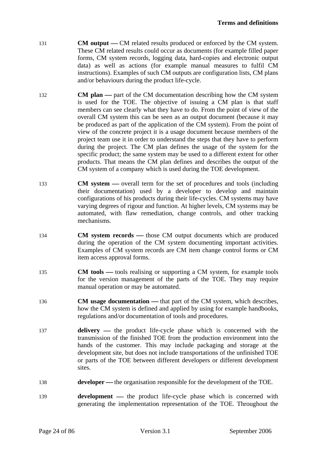- 131 **CM output** CM related results produced or enforced by the CM system. These CM related results could occur as documents (for example filled paper forms, CM system records, logging data, hard-copies and electronic output data) as well as actions (for example manual measures to fulfil CM instructions). Examples of such CM outputs are configuration lists, CM plans and/or behaviours during the product life-cycle.
- 132 **CM plan** part of the CM documentation describing how the CM system is used for the TOE. The objective of issuing a CM plan is that staff members can see clearly what they have to do. From the point of view of the overall CM system this can be seen as an output document (because it may be produced as part of the application of the CM system). From the point of view of the concrete project it is a usage document because members of the project team use it in order to understand the steps that they have to perform during the project. The CM plan defines the usage of the system for the specific product; the same system may be used to a different extent for other products. That means the CM plan defines and describes the output of the CM system of a company which is used during the TOE development.
- 133 **CM system** overall term for the set of procedures and tools (including their documentation) used by a developer to develop and maintain configurations of his products during their life-cycles. CM systems may have varying degrees of rigour and function. At higher levels, CM systems may be automated, with flaw remediation, change controls, and other tracking mechanisms.
- 134 **CM system records** those CM output documents which are produced during the operation of the CM system documenting important activities. Examples of CM system records are CM item change control forms or CM item access approval forms.
- 135 **CM tools —** tools realising or supporting a CM system, for example tools for the version management of the parts of the TOE. They may require manual operation or may be automated.
- 136 **CM usage documentation** that part of the CM system, which describes, how the CM system is defined and applied by using for example handbooks, regulations and/or documentation of tools and procedures.
- 137 **delivery** the product life-cycle phase which is concerned with the transmission of the finished TOE from the production environment into the hands of the customer. This may include packaging and storage at the development site, but does not include transportations of the unfinished TOE or parts of the TOE between different developers or different development sites.
- 138 **developer** the organisation responsible for the development of the TOE.
- 139 **development** the product life-cycle phase which is concerned with generating the implementation representation of the TOE. Throughout the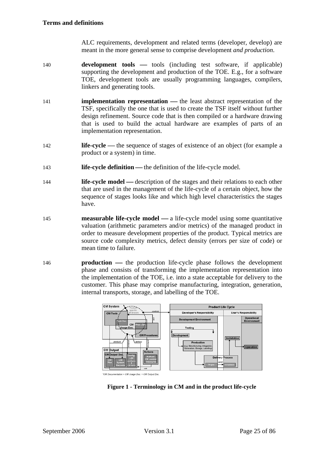[ALC](#page-85-0) requirements, development and related terms (developer, develop) are meant in the more general sense to comprise development *and production*.

- <span id="page-24-0"></span>140 **development tools** — tools (including test software, if applicable) supporting the development and production of the TOE. E.g., for a software TOE, development tools are usually programming languages, compilers, linkers and generating tools.
- 141 **implementation representation** the least abstract representation of the TSF, specifically the one that is used to create the TSF itself without further design refinement. Source code that is then compiled or a hardware drawing that is used to build the actual hardware are examples of parts of an implementation representation.
- 142 **life-cycle** the sequence of stages of existence of an object (for example a product or a system) in time.
- 143 **life-cycle definition** the definition of the life-cycle model.
- 144 **life-cycle model** description of the stages and their relations to each other that are used in the management of the life-cycle of a certain object, how the sequence of stages looks like and which high level characteristics the stages have.
- 145 **measurable life-cycle model** a life-cycle model using some quantitative valuation (arithmetic parameters and/or metrics) of the managed product in order to measure development properties of the product. Typical metrics are source code complexity metrics, defect density (errors per size of code) or mean time to failure.
- 146 **production** the production life-cycle phase follows the development phase and consists of transforming the implementation representation into the implementation of the TOE, i.e. into a state acceptable for delivery to the customer. This phase may comprise manufacturing, integration, generation, internal transports, storage, and labelling of the TOE.



**Figure 1 - Terminology in CM and in the product life-cycle**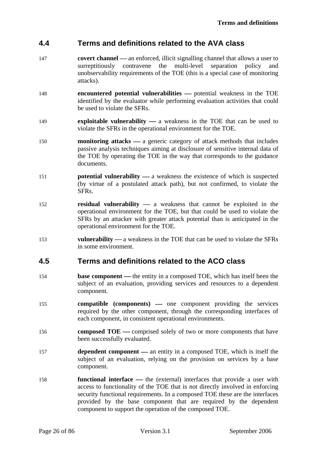### <span id="page-25-0"></span>**4.4 Terms and definitions related to the AVA class**

- 147 **covert channel** an enforced, illicit signalling channel that allows a user to surreptitiously contravene the multi-level separation policy and unobservability requirements of the TOE (this is a special case of monitoring attacks).
- 148 **encountered potential vulnerabilities** potential weakness in the TOE identified by the evaluator while performing evaluation activities that could be used to violate the SFRs.
- 149 **exploitable vulnerability** a weakness in the TOE that can be used to violate the SFRs in the operational environment for the TOE.
- 150 **monitoring attacks** a generic category of attack methods that includes passive analysis techniques aiming at disclosure of sensitive internal data of the TOE by operating the TOE in the way that corresponds to the guidance documents.
- 151 **potential vulnerability** a weakness the existence of which is suspected (by virtue of a postulated attack path), but not confirmed, to violate the SFRs.
- 152 **residual vulnerability** a weakness that cannot be exploited in the operational environment for the TOE, but that could be used to violate the SFRs by an attacker with greater attack potential than is anticipated in the operational environment for the TOE.
- 153 **vulnerability** a weakness in the TOE that can be used to violate the SFRs in some environment.

### **4.5 Terms and definitions related to the ACO class**

- 154 **base component** the entity in a composed TOE, which has itself been the subject of an evaluation, providing services and resources to a dependent component.
- 155 **compatible (components)** one component providing the services required by the other component, through the corresponding interfaces of each component, in consistent operational environments.
- 156 **composed TOE** comprised solely of two or more components that have been successfully evaluated.
- 157 **dependent component** an entity in a composed TOE, which is itself the subject of an evaluation, relying on the provision on services by a base component.
- 158 **functional interface** the (external) interfaces that provide a user with access to functionality of the TOE that is not directly involved in enforcing security functional requirements. In a composed TOE these are the interfaces provided by the base component that are required by the dependent component to support the operation of the composed TOE.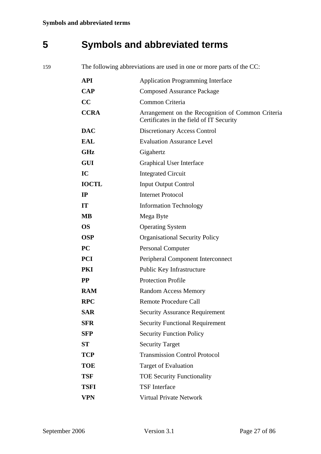# <span id="page-26-0"></span>**5 Symbols and abbreviated terms**

159 The following abbreviations are used in one or more parts of the CC:

| <b>API</b>   | <b>Application Programming Interface</b>                                                      |
|--------------|-----------------------------------------------------------------------------------------------|
| $\bf CAP$    | <b>Composed Assurance Package</b>                                                             |
| CC           | Common Criteria                                                                               |
| <b>CCRA</b>  | Arrangement on the Recognition of Common Criteria<br>Certificates in the field of IT Security |
| <b>DAC</b>   | <b>Discretionary Access Control</b>                                                           |
| <b>EAL</b>   | <b>Evaluation Assurance Level</b>                                                             |
| <b>GHz</b>   | Gigahertz                                                                                     |
| <b>GUI</b>   | <b>Graphical User Interface</b>                                                               |
| IC           | <b>Integrated Circuit</b>                                                                     |
| <b>IOCTL</b> | <b>Input Output Control</b>                                                                   |
| IP           | <b>Internet Protocol</b>                                                                      |
| IT           | <b>Information Technology</b>                                                                 |
| <b>MB</b>    | Mega Byte                                                                                     |
| <b>OS</b>    | <b>Operating System</b>                                                                       |
| <b>OSP</b>   | <b>Organisational Security Policy</b>                                                         |
| PC           | <b>Personal Computer</b>                                                                      |
| <b>PCI</b>   | Peripheral Component Interconnect                                                             |
| PKI          | Public Key Infrastructure                                                                     |
| <b>PP</b>    | <b>Protection Profile</b>                                                                     |
| <b>RAM</b>   | <b>Random Access Memory</b>                                                                   |
| <b>RPC</b>   | <b>Remote Procedure Call</b>                                                                  |
| <b>SAR</b>   | <b>Security Assurance Requirement</b>                                                         |
| <b>SFR</b>   | <b>Security Functional Requirement</b>                                                        |
| <b>SFP</b>   | <b>Security Function Policy</b>                                                               |
| <b>ST</b>    | <b>Security Target</b>                                                                        |
| <b>TCP</b>   | <b>Transmission Control Protocol</b>                                                          |
| <b>TOE</b>   | <b>Target of Evaluation</b>                                                                   |
| <b>TSF</b>   | <b>TOE Security Functionality</b>                                                             |
| <b>TSFI</b>  | <b>TSF</b> Interface                                                                          |
| <b>VPN</b>   | <b>Virtual Private Network</b>                                                                |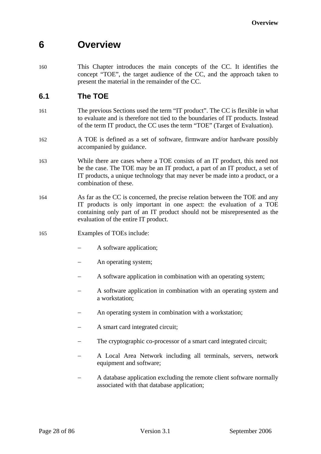## <span id="page-27-0"></span>**6 Overview**

160 This Chapter introduces the main concepts of the CC. It identifies the concept "TOE", the target audience of the CC, and the approach taken to present the material in the remainder of the CC.

### **6.1 The TOE**

- 161 The previous Sections used the term "IT product". The CC is flexible in what to evaluate and is therefore not tied to the boundaries of IT products. Instead of the term IT product, the CC uses the term "TOE" (Target of Evaluation).
- 162 A TOE is defined as a set of software, firmware and/or hardware possibly accompanied by guidance.
- 163 While there are cases where a TOE consists of an IT product, this need not be the case. The TOE may be an IT product, a part of an IT product, a set of IT products, a unique technology that may never be made into a product, or a combination of these.
- 164 As far as the CC is concerned, the precise relation between the TOE and any IT products is only important in one aspect: the evaluation of a TOE containing only part of an IT product should not be misrepresented as the evaluation of the entire IT product.
- 165 Examples of TOEs include:
	- A software application;
	- An operating system;
	- A software application in combination with an operating system;
	- A software application in combination with an operating system and a workstation;
	- An operating system in combination with a workstation;
	- − A smart card integrated circuit;
	- The cryptographic co-processor of a smart card integrated circuit;
	- − A Local Area Network including all terminals, servers, network equipment and software;
	- A database application excluding the remote client software normally associated with that database application;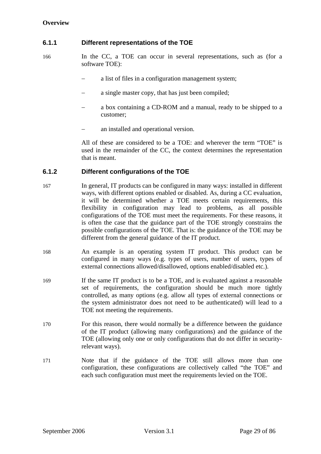### <span id="page-28-0"></span>**6.1.1 Different representations of the TOE**

- 166 In the CC, a TOE can occur in several representations, such as (for a software TOE):
	- a list of files in a configuration management system;
	- a single master copy, that has just been compiled;
	- a box containing a CD-ROM and a manual, ready to be shipped to a customer;
	- an installed and operational version.

All of these are considered to be a TOE: and wherever the term "TOE" is used in the remainder of the CC, the context determines the representation that is meant.

#### **6.1.2 Different configurations of the TOE**

- 167 In general, IT products can be configured in many ways: installed in different ways, with different options enabled or disabled. As, during a CC evaluation, it will be determined whether a TOE meets certain requirements, this flexibility in configuration may lead to problems, as all possible configurations of the TOE must meet the requirements. For these reasons, it is often the case that the guidance part of the TOE strongly constrains the possible configurations of the TOE. That is: the guidance of the TOE may be different from the general guidance of the IT product.
- 168 An example is an operating system IT product. This product can be configured in many ways (e.g. types of users, number of users, types of external connections allowed/disallowed, options enabled/disabled etc.).
- 169 If the same IT product is to be a TOE, and is evaluated against a reasonable set of requirements, the configuration should be much more tightly controlled, as many options (e.g. allow all types of external connections or the system administrator does not need to be authenticated) will lead to a TOE not meeting the requirements.
- 170 For this reason, there would normally be a difference between the guidance of the IT product (allowing many configurations) and the guidance of the TOE (allowing only one or only configurations that do not differ in securityrelevant ways).
- 171 Note that if the guidance of the TOE still allows more than one configuration, these configurations are collectively called "the TOE" and each such configuration must meet the requirements levied on the TOE.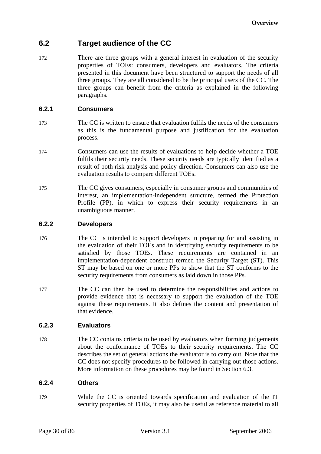### <span id="page-29-0"></span>**6.2 Target audience of the CC**

172 There are three groups with a general interest in evaluation of the security properties of TOEs: consumers, developers and evaluators. The criteria presented in this document have been structured to support the needs of all three groups. They are all considered to be the principal users of the CC. The three groups can benefit from the criteria as explained in the following paragraphs.

### **6.2.1 Consumers**

- 173 The CC is written to ensure that evaluation fulfils the needs of the consumers as this is the fundamental purpose and justification for the evaluation process.
- 174 Consumers can use the results of evaluations to help decide whether a TOE fulfils their security needs. These security needs are typically identified as a result of both risk analysis and policy direction. Consumers can also use the evaluation results to compare different TOEs.
- 175 The CC gives consumers, especially in consumer groups and communities of interest, an implementation-independent structure, termed the Protection Profile (PP), in which to express their security requirements in an unambiguous manner.

#### **6.2.2 Developers**

- 176 The CC is intended to support developers in preparing for and assisting in the evaluation of their TOEs and in identifying security requirements to be satisfied by those TOEs. These requirements are contained in an implementation-dependent construct termed the Security Target (ST). This ST may be based on one or more PPs to show that the ST conforms to the security requirements from consumers as laid down in those PPs.
- 177 The CC can then be used to determine the responsibilities and actions to provide evidence that is necessary to support the evaluation of the TOE against these requirements. It also defines the content and presentation of that evidence.

### **6.2.3 Evaluators**

178 The CC contains criteria to be used by evaluators when forming judgements about the conformance of TOEs to their security requirements. The CC describes the set of general actions the evaluator is to carry out. Note that the CC does not specify procedures to be followed in carrying out those actions. More information on these procedures may be found in Section [6.3](#page-31-1).

### **6.2.4 Others**

179 While the CC is oriented towards specification and evaluation of the IT security properties of TOEs, it may also be useful as reference material to all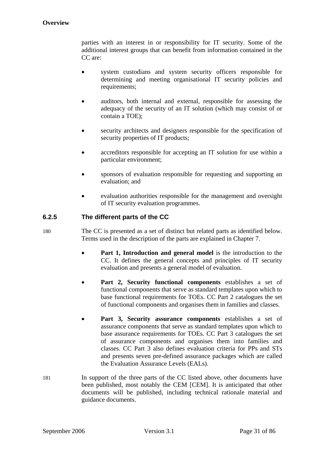<span id="page-30-0"></span>parties with an interest in or responsibility for IT security. Some of the additional interest groups that can benefit from information contained in the CC are:

- system custodians and system security officers responsible for determining and meeting organisational IT security policies and requirements;
- auditors, both internal and external, responsible for assessing the adequacy of the security of an IT solution (which may consist of or contain a TOE);
- security architects and designers responsible for the specification of security properties of IT products;
- accreditors responsible for accepting an IT solution for use within a particular environment;
- sponsors of evaluation responsible for requesting and supporting an evaluation; and
- evaluation authorities responsible for the management and oversight of IT security evaluation programmes.

### **6.2.5 The different parts of the CC**

- 180 The CC is presented as a set of distinct but related parts as identified below. Terms used in the description of the parts are explained in Chapter [7.](#page-33-1)
	- **Part 1, Introduction and general model** is the introduction to the CC. It defines the general concepts and principles of IT security evaluation and presents a general model of evaluation.
	- **Part 2, Security functional components** establishes a set of functional components that serve as standard templates upon which to base functional requirements for TOEs. CC Part 2 catalogues the set of functional components and organises them in families and classes.
	- **Part 3, Security assurance components** establishes a set of assurance components that serve as standard templates upon which to base assurance requirements for TOEs. CC Part 3 catalogues the set of assurance components and organises them into families and classes. CC Part 3 also defines evaluation criteria for PPs and STs and presents seven pre-defined assurance packages which are called the Evaluation Assurance Levels (EALs).
- 181 In support of the three parts of the CC listed above, other documents have been published, most notably the CEM [\[CEM](#page-11-1)]. It is anticipated that other documents will be published, including technical rationale material and guidance documents.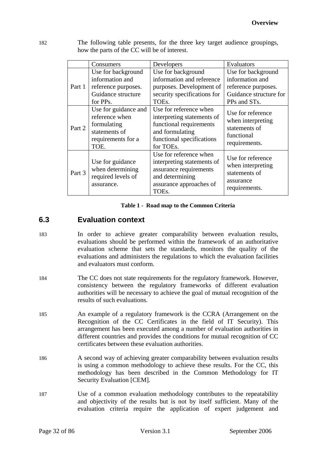<span id="page-31-0"></span>182 The following table presents, for the three key target audience groupings, how the parts of the CC will be of interest.

|        | Consumers                                                                                            | Developers                                                                                                                                   | Evaluators                                                                                             |
|--------|------------------------------------------------------------------------------------------------------|----------------------------------------------------------------------------------------------------------------------------------------------|--------------------------------------------------------------------------------------------------------|
| Part 1 | Use for background<br>information and<br>reference purposes.<br>Guidance structure<br>for PPs.       | Use for background<br>information and reference<br>purposes. Development of<br>security specifications for<br>TOEs.                          | Use for background<br>information and<br>reference purposes.<br>Guidance structure for<br>PPs and STs. |
| Part 2 | Use for guidance and<br>reference when<br>formulating<br>statements of<br>requirements for a<br>TOE. | Use for reference when<br>interpreting statements of<br>functional requirements<br>and formulating<br>functional specifications<br>for TOEs. | Use for reference<br>when interpreting<br>statements of<br>functional<br>requirements.                 |
| Part 3 | Use for guidance<br>when determining<br>required levels of<br>assurance.                             | Use for reference when<br>interpreting statements of<br>assurance requirements<br>and determining<br>assurance approaches of<br>TOEs.        | Use for reference<br>when interpreting<br>statements of<br>assurance<br>requirements.                  |

#### **Table 1 - Road map to the Common Criteria**

### <span id="page-31-1"></span>**6.3 Evaluation context**

- 183 In order to achieve greater comparability between evaluation results, evaluations should be performed within the framework of an authoritative evaluation scheme that sets the standards, monitors the quality of the evaluations and administers the regulations to which the evaluation facilities and evaluators must conform.
- 184 The CC does not state requirements for the regulatory framework. However, consistency between the regulatory frameworks of different evaluation authorities will be necessary to achieve the goal of mutual recognition of the results of such evaluations.
- 185 An example of a regulatory framework is the CCRA (Arrangement on the Recognition of the CC Certificates in the field of IT Security). This arrangement has been executed among a number of evaluation authorities in different countries and provides the conditions for mutual recognition of CC certificates between these evaluation authorities.
- 186 A second way of achieving greater comparability between evaluation results is using a common methodology to achieve these results. For the CC, this methodology has been described in the Common Methodology for IT Security Evaluation [\[CEM\]](#page-11-1).
- 187 Use of a common evaluation methodology contributes to the repeatability and objectivity of the results but is not by itself sufficient. Many of the evaluation criteria require the application of expert judgement and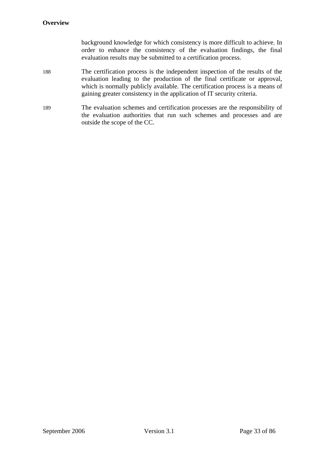#### **Overview**

background knowledge for which consistency is more difficult to achieve. In order to enhance the consistency of the evaluation findings, the final evaluation results may be submitted to a certification process.

- 188 The certification process is the independent inspection of the results of the evaluation leading to the production of the final certificate or approval, which is normally publicly available. The certification process is a means of gaining greater consistency in the application of IT security criteria.
- 189 The evaluation schemes and certification processes are the responsibility of the evaluation authorities that run such schemes and processes and are outside the scope of the CC.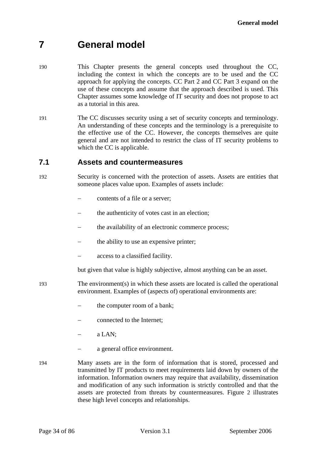# <span id="page-33-1"></span><span id="page-33-0"></span>**7 General model**

- 190 This Chapter presents the general concepts used throughout the CC, including the context in which the concepts are to be used and the CC approach for applying the concepts. CC Part 2 and CC Part 3 expand on the use of these concepts and assume that the approach described is used. This Chapter assumes some knowledge of IT security and does not propose to act as a tutorial in this area.
- 191 The CC discusses security using a set of security concepts and terminology. An understanding of these concepts and the terminology is a prerequisite to the effective use of the CC. However, the concepts themselves are quite general and are not intended to restrict the class of IT security problems to which the CC is applicable.

### **7.1 Assets and countermeasures**

- 192 Security is concerned with the protection of assets. Assets are entities that someone places value upon. Examples of assets include:
	- − contents of a file or a server;
	- the authenticity of votes cast in an election;
	- the availability of an electronic commerce process;
	- the ability to use an expensive printer;
	- − access to a classified facility.

but given that value is highly subjective, almost anything can be an asset.

- 193 The environment(s) in which these assets are located is called the operational environment. Examples of (aspects of) operational environments are:
	- the computer room of a bank:
	- connected to the Internet;
	- a LAN:
	- a general office environment.
- 194 Many assets are in the form of information that is stored, processed and transmitted by IT products to meet requirements laid down by owners of the information. Information owners may require that availability, dissemination and modification of any such information is strictly controlled and that the assets are protected from threats by countermeasures. Figure [2](#page-34-1) illustrates these high level concepts and relationships.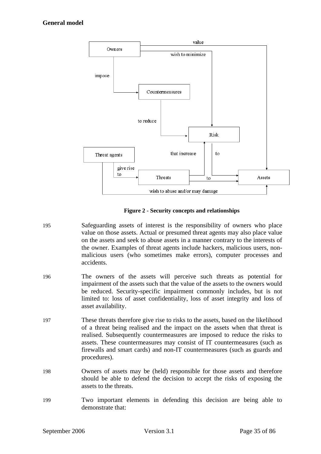<span id="page-34-0"></span>

**Figure 2 - Security concepts and relationships** 

- <span id="page-34-1"></span>195 Safeguarding assets of interest is the responsibility of owners who place value on those assets. Actual or presumed threat agents may also place value on the assets and seek to abuse assets in a manner contrary to the interests of the owner. Examples of threat agents include hackers, malicious users, nonmalicious users (who sometimes make errors), computer processes and accidents.
- 196 The owners of the assets will perceive such threats as potential for impairment of the assets such that the value of the assets to the owners would be reduced. Security-specific impairment commonly includes, but is not limited to: loss of asset confidentiality, loss of asset integrity and loss of asset availability.
- 197 These threats therefore give rise to risks to the assets, based on the likelihood of a threat being realised and the impact on the assets when that threat is realised. Subsequently countermeasures are imposed to reduce the risks to assets. These countermeasures may consist of IT countermeasures (such as firewalls and smart cards) and non-IT countermeasures (such as guards and procedures).
- 198 Owners of assets may be (held) responsible for those assets and therefore should be able to defend the decision to accept the risks of exposing the assets to the threats.
- 199 Two important elements in defending this decision are being able to demonstrate that: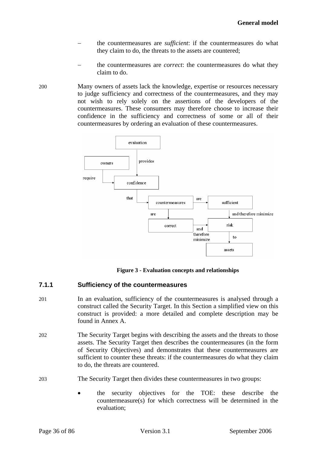- <span id="page-35-0"></span>the countermeasures are *sufficient*: if the countermeasures do what they claim to do, the threats to the assets are countered;
- the countermeasures are *correct*: the countermeasures do what they claim to do.
- 200 Many owners of assets lack the knowledge, expertise or resources necessary to judge sufficiency and correctness of the countermeasures, and they may not wish to rely solely on the assertions of the developers of the countermeasures. These consumers may therefore choose to increase their confidence in the sufficiency and correctness of some or all of their countermeasures by ordering an evaluation of these countermeasures.



**Figure 3 - Evaluation concepts and relationships** 

### **7.1.1 Sufficiency of the countermeasures**

- 201 In an evaluation, sufficiency of the countermeasures is analysed through a construct called the Security Target. In this Section a simplified view on this construct is provided: a more detailed and complete description may be found in Annex [A](#page-45-1).
- 202 The Security Target begins with describing the assets and the threats to those assets. The Security Target then describes the countermeasures (in the form of Security Objectives) and demonstrates that these countermeasures are sufficient to counter these threats: if the countermeasures do what they claim to do, the threats are countered.
- 203 The Security Target then divides these countermeasures in two groups:
	- the security objectives for the TOE: these describe the countermeasure(s) for which correctness will be determined in the evaluation;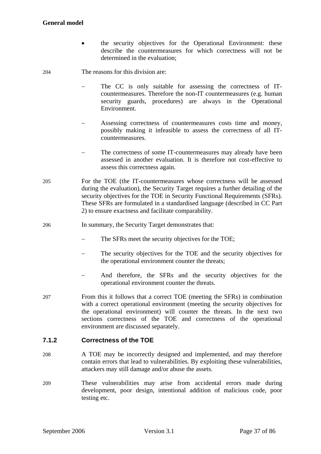#### **General model**

• the security objectives for the Operational Environment: these describe the countermeasures for which correctness will not be determined in the evaluation;

204 The reasons for this division are:

- The CC is only suitable for assessing the correctness of ITcountermeasures. Therefore the non-IT countermeasures (e.g. human security guards, procedures) are always in the Operational Environment.
- Assessing correctness of countermeasures costs time and money, possibly making it infeasible to assess the correctness of all ITcountermeasures.
- − The correctness of some IT-countermeasures may already have been assessed in another evaluation. It is therefore not cost-effective to assess this correctness again.
- 205 For the TOE (the IT-countermeasures whose correctness will be assessed during the evaluation), the Security Target requires a further detailing of the security objectives for the TOE in Security Functional Requirements (SFRs). These SFRs are formulated in a standardised language (described in CC Part 2) to ensure exactness and facilitate comparability.
- 206 In summary, the Security Target demonstrates that:
	- − The SFRs meet the security objectives for the TOE;
	- The security objectives for the TOE and the security objectives for the operational environment counter the threats;
	- And therefore, the SFRs and the security objectives for the operational environment counter the threats.
- 207 From this it follows that a correct TOE (meeting the SFRs) in combination with a correct operational environment (meeting the security objectives for the operational environment) will counter the threats. In the next two sections correctness of the TOE and correctness of the operational environment are discussed separately.

#### **7.1.2 Correctness of the TOE**

- 208 A TOE may be incorrectly designed and implemented, and may therefore contain errors that lead to vulnerabilities. By exploiting these vulnerabilities, attackers may still damage and/or abuse the assets.
- 209 These vulnerabilities may arise from accidental errors made during development, poor design, intentional addition of malicious code, poor testing etc.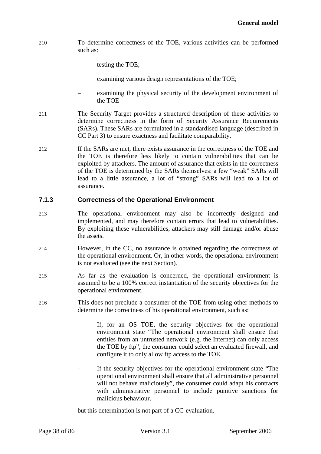- 210 To determine correctness of the TOE, various activities can be performed such as:
	- testing the TOE;
	- examining various design representations of the TOE;
	- examining the physical security of the development environment of the TOE
- 211 The Security Target provides a structured description of these activities to determine correctness in the form of Security Assurance Requirements (SARs). These SARs are formulated in a standardised language (described in CC Part 3) to ensure exactness and facilitate comparability.
- 212 If the SARs are met, there exists assurance in the correctness of the TOE and the TOE is therefore less likely to contain vulnerabilities that can be exploited by attackers. The amount of assurance that exists in the correctness of the TOE is determined by the SARs themselves: a few "weak" SARs will lead to a little assurance, a lot of "strong" SARs will lead to a lot of assurance.

#### **7.1.3 Correctness of the Operational Environment**

- 213 The operational environment may also be incorrectly designed and implemented, and may therefore contain errors that lead to vulnerabilities. By exploiting these vulnerabilities, attackers may still damage and/or abuse the assets.
- 214 However, in the CC, no assurance is obtained regarding the correctness of the operational environment. Or, in other words, the operational environment is not evaluated (see the next Section).
- 215 As far as the evaluation is concerned, the operational environment is assumed to be a 100% correct instantiation of the security objectives for the operational environment.
- 216 This does not preclude a consumer of the TOE from using other methods to determine the correctness of his operational environment, such as:
	- If, for an OS TOE, the security objectives for the operational environment state "The operational environment shall ensure that entities from an untrusted network (e.g. the Internet) can only access the TOE by ftp", the consumer could select an evaluated firewall, and configure it to only allow ftp access to the TOE.
	- If the security objectives for the operational environment state "The operational environment shall ensure that all administrative personnel will not behave maliciously", the consumer could adapt his contracts with administrative personnel to include punitive sanctions for malicious behaviour.

but this determination is not part of a CC-evaluation.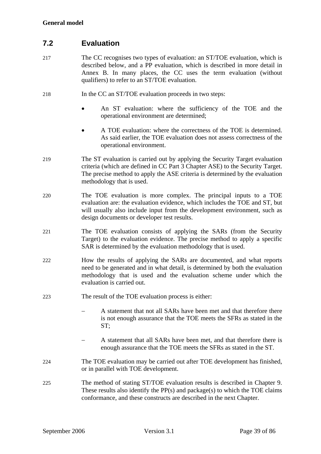# **7.2 Evaluation**

- 217 The CC recognises two types of evaluation: an ST/TOE evaluation, which is described below, and a PP evaluation, which is described in more detail in Annex [B.](#page-67-0) In many places, the CC uses the term evaluation (without qualifiers) to refer to an ST/TOE evaluation.
- 218 In the CC an ST/TOE evaluation proceeds in two steps:
	- An ST evaluation: where the sufficiency of the TOE and the operational environment are determined;
	- A TOE evaluation: where the correctness of the TOE is determined. As said earlier, the TOE evaluation does not assess correctness of the operational environment.
- 219 The ST evaluation is carried out by applying the Security Target evaluation criteria (which are defined in CC Part 3 Chapter [ASE\)](#page-85-0) to the Security Target. The precise method to apply the [ASE](#page-85-0) criteria is determined by the evaluation methodology that is used.
- 220 The TOE evaluation is more complex. The principal inputs to a TOE evaluation are: the evaluation evidence, which includes the TOE and ST, but will usually also include input from the development environment, such as design documents or developer test results.
- 221 The TOE evaluation consists of applying the SARs (from the Security Target) to the evaluation evidence. The precise method to apply a specific SAR is determined by the evaluation methodology that is used.
- 222 How the results of applying the SARs are documented, and what reports need to be generated and in what detail, is determined by both the evaluation methodology that is used and the evaluation scheme under which the evaluation is carried out.
- 223 The result of the TOE evaluation process is either:
	- − A statement that not all SARs have been met and that therefore there is not enough assurance that the TOE meets the SFRs as stated in the ST;
	- A statement that all SARs have been met, and that therefore there is enough assurance that the TOE meets the SFRs as stated in the ST.
- 224 The TOE evaluation may be carried out after TOE development has finished, or in parallel with TOE development.
- 225 The method of stating ST/TOE evaluation results is described in Chapter [9](#page-41-0). These results also identify the PP(s) and package(s) to which the TOE claims conformance, and these constructs are described in the next Chapter.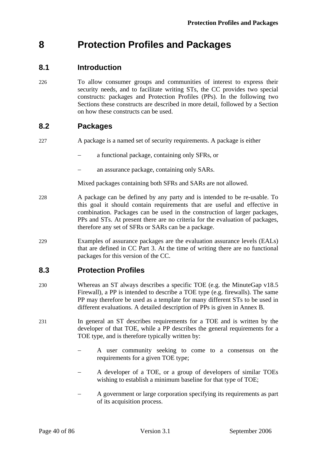# **8 Protection Profiles and Packages**

# **8.1 Introduction**

226 To allow consumer groups and communities of interest to express their security needs, and to facilitate writing STs, the CC provides two special constructs: packages and Protection Profiles (PPs). In the following two Sections these constructs are described in more detail, followed by a Section on how these constructs can be used.

# **8.2 Packages**

- 227 A package is a named set of security requirements. A package is either
	- − a functional package, containing only SFRs, or
	- an assurance package, containing only SARs.

Mixed packages containing both SFRs and SARs are not allowed.

- 228 A package can be defined by any party and is intended to be re-usable. To this goal it should contain requirements that are useful and effective in combination. Packages can be used in the construction of larger packages, PPs and STs. At present there are no criteria for the evaluation of packages, therefore any set of SFRs or SARs can be a package.
- 229 Examples of assurance packages are the evaluation assurance levels (EALs) that are defined in CC Part 3. At the time of writing there are no functional packages for this version of the CC.

# **8.3 Protection Profiles**

- 230 Whereas an ST always describes a specific TOE (e.g. the MinuteGap v18.5 Firewall), a PP is intended to describe a TOE type (e.g. firewalls). The same PP may therefore be used as a template for many different STs to be used in different evaluations. A detailed description of PPs is given in Annex [B.](#page-67-0)
- 231 In general an ST describes requirements for a TOE and is written by the developer of that TOE, while a PP describes the general requirements for a TOE type, and is therefore typically written by:
	- A user community seeking to come to a consensus on the requirements for a given TOE type;
	- A developer of a TOE, or a group of developers of similar TOEs wishing to establish a minimum baseline for that type of TOE;
	- A government or large corporation specifying its requirements as part of its acquisition process.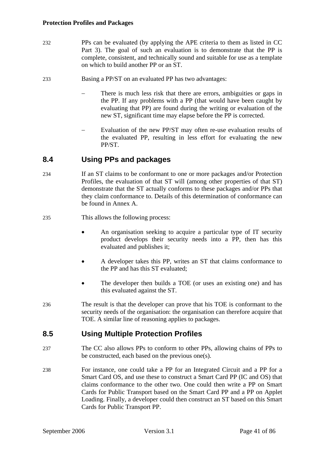- 232 PPs can be evaluated (by applying the [APE](#page-85-0) criteria to them as listed in CC Part 3). The goal of such an evaluation is to demonstrate that the PP is complete, consistent, and technically sound and suitable for use as a template on which to build another PP or an ST.
- 233 Basing a PP/ST on an evaluated PP has two advantages:
	- There is much less risk that there are errors, ambiguities or gaps in the PP. If any problems with a PP (that would have been caught by evaluating that PP) are found during the writing or evaluation of the new ST, significant time may elapse before the PP is corrected.
	- Evaluation of the new PP/ST may often re-use evaluation results of the evaluated PP, resulting in less effort for evaluating the new PP/ST.

# **8.4 Using PPs and packages**

- 234 If an ST claims to be conformant to one or more packages and/or Protection Profiles, the evaluation of that ST will (among other properties of that ST) demonstrate that the ST actually conforms to these packages and/or PPs that they claim conformance to. Details of this determination of conformance can be found in Annex [A.](#page-45-0)
- 235 This allows the following process:
	- An organisation seeking to acquire a particular type of IT security product develops their security needs into a PP, then has this evaluated and publishes it;
	- A developer takes this PP, writes an ST that claims conformance to the PP and has this ST evaluated;
	- The developer then builds a TOE (or uses an existing one) and has this evaluated against the ST.
- 236 The result is that the developer can prove that his TOE is conformant to the security needs of the organisation: the organisation can therefore acquire that TOE. A similar line of reasoning applies to packages.

# **8.5 Using Multiple Protection Profiles**

- 237 The CC also allows PPs to conform to other PPs, allowing chains of PPs to be constructed, each based on the previous one(s).
- 238 For instance, one could take a PP for an Integrated Circuit and a PP for a Smart Card OS, and use these to construct a Smart Card PP (IC and OS) that claims conformance to the other two. One could then write a PP on Smart Cards for Public Transport based on the Smart Card PP and a PP on Applet Loading. Finally, a developer could then construct an ST based on this Smart Cards for Public Transport PP.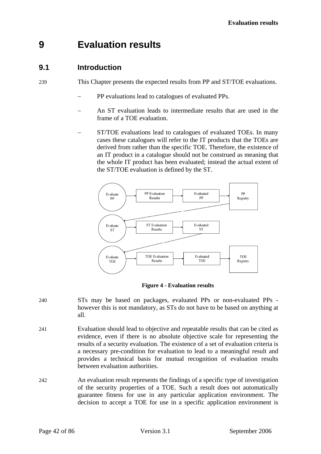# <span id="page-41-0"></span>**9 Evaluation results**

# **9.1 Introduction**

239 This Chapter presents the expected results from PP and ST/TOE evaluations.

- PP evaluations lead to catalogues of evaluated PPs.
- An ST evaluation leads to intermediate results that are used in the frame of a TOE evaluation.
- ST/TOE evaluations lead to catalogues of evaluated TOEs. In many cases these catalogues will refer to the IT products that the TOEs are derived from rather than the specific TOE. Therefore, the existence of an IT product in a catalogue should not be construed as meaning that the whole IT product has been evaluated; instead the actual extent of the ST/TOE evaluation is defined by the ST.



**Figure 4 - Evaluation results** 

- 240 STs may be based on packages, evaluated PPs or non-evaluated PPs however this is not mandatory, as STs do not have to be based on anything at all.
- 241 Evaluation should lead to objective and repeatable results that can be cited as evidence, even if there is no absolute objective scale for representing the results of a security evaluation. The existence of a set of evaluation criteria is a necessary pre-condition for evaluation to lead to a meaningful result and provides a technical basis for mutual recognition of evaluation results between evaluation authorities.
- 242 An evaluation result represents the findings of a specific type of investigation of the security properties of a TOE. Such a result does not automatically guarantee fitness for use in any particular application environment. The decision to accept a TOE for use in a specific application environment is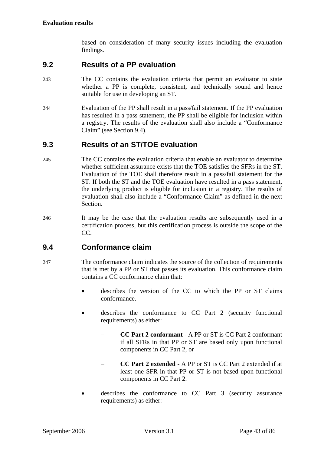based on consideration of many security issues including the evaluation findings.

# **9.2 Results of a PP evaluation**

- 243 The CC contains the evaluation criteria that permit an evaluator to state whether a PP is complete, consistent, and technically sound and hence suitable for use in developing an ST.
- 244 Evaluation of the PP shall result in a pass/fail statement. If the PP evaluation has resulted in a pass statement, the PP shall be eligible for inclusion within a registry. The results of the evaluation shall also include a "Conformance Claim" (see Section [9.4](#page-42-0)).

# **9.3 Results of an ST/TOE evaluation**

- 245 The CC contains the evaluation criteria that enable an evaluator to determine whether sufficient assurance exists that the TOE satisfies the SFRs in the ST. Evaluation of the TOE shall therefore result in a pass/fail statement for the ST. If both the ST and the TOE evaluation have resulted in a pass statement, the underlying product is eligible for inclusion in a registry. The results of evaluation shall also include a "Conformance Claim" as defined in the next Section.
- 246 It may be the case that the evaluation results are subsequently used in a certification process, but this certification process is outside the scope of the CC.

# <span id="page-42-0"></span>**9.4 Conformance claim**

- 247 The conformance claim indicates the source of the collection of requirements that is met by a PP or ST that passes its evaluation. This conformance claim contains a CC conformance claim that:
	- describes the version of the CC to which the PP or ST claims conformance.
	- describes the conformance to CC Part 2 (security functional requirements) as either:
		- − **CC Part 2 conformant** A PP or ST is CC Part 2 conformant if all SFRs in that PP or ST are based only upon functional components in CC Part 2, or
		- − **CC Part 2 extended** A PP or ST is CC Part 2 extended if at least one SFR in that PP or ST is not based upon functional components in CC Part 2.
	- describes the conformance to CC Part 3 (security assurance requirements) as either: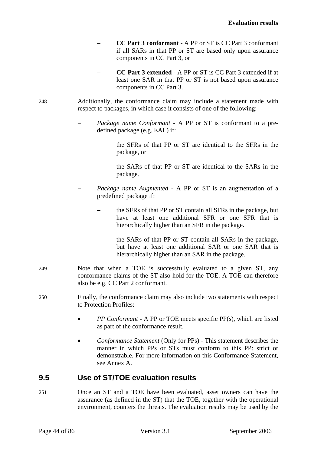- − **CC Part 3 conformant** A PP or ST is CC Part 3 conformant if all SARs in that PP or ST are based only upon assurance components in CC Part 3, or
- − **CC Part 3 extended** A PP or ST is CC Part 3 extended if at least one SAR in that PP or ST is not based upon assurance components in CC Part 3.
- 248 Additionally, the conformance claim may include a statement made with respect to packages, in which case it consists of one of the following:
	- *Package name Conformant* A PP or ST is conformant to a predefined package (e.g. EAL) if:
		- the SFRs of that PP or ST are identical to the SFRs in the package, or
		- the SARs of that PP or ST are identical to the SARs in the package.
	- *Package name Augmented* A PP or ST is an augmentation of a predefined package if:
		- the SFRs of that PP or ST contain all SFRs in the package, but have at least one additional SFR or one SFR that is hierarchically higher than an SFR in the package.
		- the SARs of that PP or ST contain all SARs in the package, but have at least one additional SAR or one SAR that is hierarchically higher than an SAR in the package.
- 249 Note that when a TOE is successfully evaluated to a given ST, any conformance claims of the ST also hold for the TOE. A TOE can therefore also be e.g. CC Part 2 conformant.
- 250 Finally, the conformance claim may also include two statements with respect to Protection Profiles:
	- *PP Conformant* A PP or TOE meets specific PP(s), which are listed as part of the conformance result.
	- *Conformance Statement* (Only for PPs) This statement describes the manner in which PPs or STs must conform to this PP: strict or demonstrable. For more information on this Conformance Statement, see Annex [A.](#page-45-0)

# **9.5 Use of ST/TOE evaluation results**

251 Once an ST and a TOE have been evaluated, asset owners can have the assurance (as defined in the ST) that the TOE, together with the operational environment, counters the threats. The evaluation results may be used by the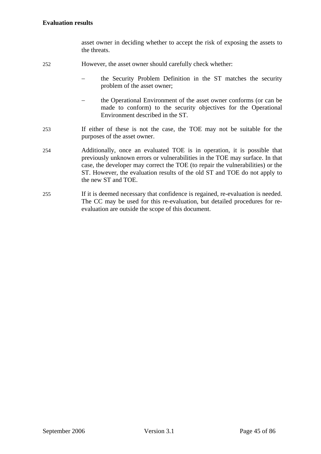asset owner in deciding whether to accept the risk of exposing the assets to the threats.

- 252 However, the asset owner should carefully check whether:
	- the Security Problem Definition in the ST matches the security problem of the asset owner;
	- − the Operational Environment of the asset owner conforms (or can be made to conform) to the security objectives for the Operational Environment described in the ST.
- 253 If either of these is not the case, the TOE may not be suitable for the purposes of the asset owner.
- 254 Additionally, once an evaluated TOE is in operation, it is possible that previously unknown errors or vulnerabilities in the TOE may surface. In that case, the developer may correct the TOE (to repair the vulnerabilities) or the ST. However, the evaluation results of the old ST and TOE do not apply to the new ST and TOE.
- 255 If it is deemed necessary that confidence is regained, re-evaluation is needed. The CC may be used for this re-evaluation, but detailed procedures for reevaluation are outside the scope of this document.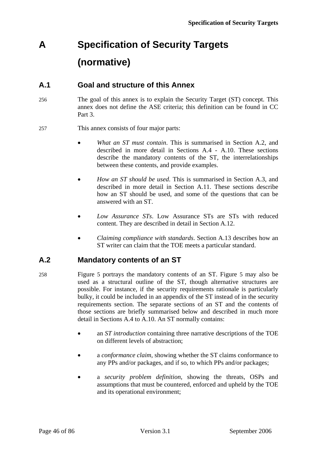# <span id="page-45-0"></span>**A Specification of Security Targets (normative)**

# **A.1 Goal and structure of this Annex**

- 256 The goal of this annex is to explain the Security Target (ST) concept. This annex does not define the [ASE](#page-85-0) criteria; this definition can be found in CC Part 3.
- 257 This annex consists of four major parts:
	- *What an ST must contain*. This is summarised in Section [A.2,](#page-45-1) and described in more detail in Sections [A.4](#page-47-0) - [A.10](#page-62-0). These sections describe the mandatory contents of the ST, the interrelationships between these contents, and provide examples.
	- *How an ST should be used*. This is summarised in Section [A.3,](#page-47-1) and described in more detail in Section [A.11](#page-62-1). These sections describe how an ST should be used, and some of the questions that can be answered with an ST.
	- *Low Assurance STs*. Low Assurance STs are STs with reduced content. They are described in detail in Section [A.12.](#page-63-0)
	- *Claiming compliance with standards*. Section [A.13](#page-65-0) describes how an ST writer can claim that the TOE meets a particular standard.

# **A.2 Mandatory contents of an ST**

- <span id="page-45-1"></span>258 Figure [5](#page-46-0) portrays the mandatory contents of an ST. Figure [5](#page-46-0) may also be used as a structural outline of the ST, though alternative structures are possible. For instance, if the security requirements rationale is particularly bulky, it could be included in an appendix of the ST instead of in the security requirements section. The separate sections of an ST and the contents of those sections are briefly summarised below and described in much more detail in Sections [A.4](#page-47-0) to [A.10](#page-62-0). An ST normally contains:
	- an *ST introduction* containing three narrative descriptions of the TOE on different levels of abstraction;
	- a *conformance claim*, showing whether the ST claims conformance to any PPs and/or packages, and if so, to which PPs and/or packages;
	- a *security problem definition*, showing the threats, OSPs and assumptions that must be countered, enforced and upheld by the TOE and its operational environment;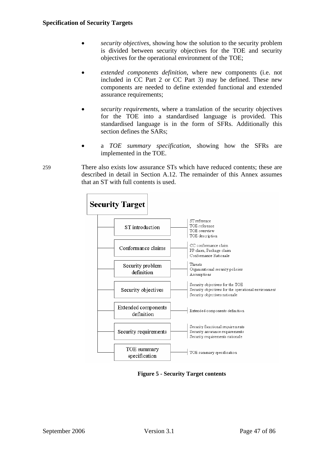- *security objectives*, showing how the solution to the security problem is divided between security objectives for the TOE and security objectives for the operational environment of the TOE;
- *extended components definition*, where new components (i.e. not included in CC Part 2 or CC Part 3) may be defined. These new components are needed to define extended functional and extended assurance requirements;
- *security requirements*, where a translation of the security objectives for the TOE into a standardised language is provided. This standardised language is in the form of SFRs. Additionally this section defines the SARs;
- a *TOE summary specification*, showing how the SFRs are implemented in the TOE.
- 259 There also exists low assurance STs which have reduced contents; these are described in detail in Section [A.12.](#page-63-0) The remainder of this Annex assumes that an ST with full contents is used.



<span id="page-46-0"></span>**Figure 5 - Security Target contents**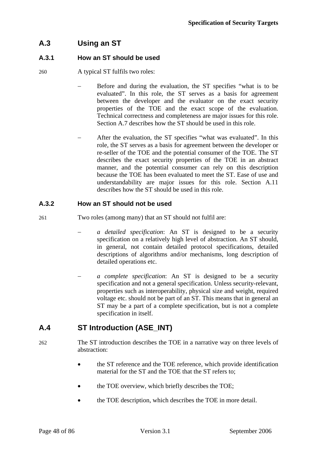# <span id="page-47-1"></span>**A.3 Using an ST**

#### **A.3.1 How an ST should be used**

260 A typical ST fulfils two roles:

- Before and during the evaluation, the ST specifies "what is to be evaluated". In this role, the ST serves as a basis for agreement between the developer and the evaluator on the exact security properties of the TOE and the exact scope of the evaluation. Technical correctness and completeness are major issues for this role. Section [A.7](#page-54-0) describes how the ST should be used in this role.
- After the evaluation, the ST specifies "what was evaluated". In this role, the ST serves as a basis for agreement between the developer or re-seller of the TOE and the potential consumer of the TOE. The ST describes the exact security properties of the TOE in an abstract manner, and the potential consumer can rely on this description because the TOE has been evaluated to meet the ST. Ease of use and understandability are major issues for this role. Section [A.11](#page-62-1) describes how the ST should be used in this role.

#### **A.3.2 How an ST should not be used**

- 261 Two roles (among many) that an ST should not fulfil are:
	- − *a detailed specification*: An ST is designed to be a security specification on a relatively high level of abstraction. An ST should, in general, not contain detailed protocol specifications, detailed descriptions of algorithms and/or mechanisms, long description of detailed operations etc.
	- − *a complete specification*: An ST is designed to be a security specification and not a general specification. Unless security-relevant, properties such as interoperability, physical size and weight, required voltage etc. should not be part of an ST. This means that in general an ST may be a part of a complete specification, but is not a complete specification in itself.

# <span id="page-47-0"></span>**A.4 ST Introduction (ASE\_INT)**

- 262 The ST introduction describes the TOE in a narrative way on three levels of abstraction:
	- the ST reference and the TOE reference, which provide identification material for the ST and the TOE that the ST refers to;
	- the TOE overview, which briefly describes the TOE;
	- the TOE description, which describes the TOE in more detail.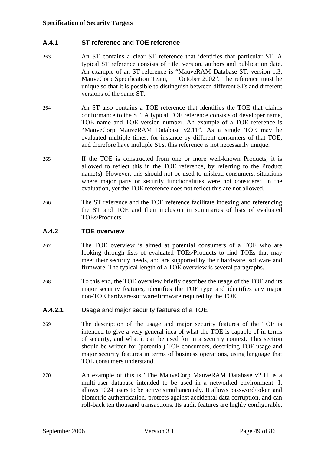#### **A.4.1 ST reference and TOE reference**

- 263 An ST contains a clear ST reference that identifies that particular ST. A typical ST reference consists of title, version, authors and publication date. An example of an ST reference is "MauveRAM Database ST, version 1.3, MauveCorp Specification Team, 11 October 2002". The reference must be unique so that it is possible to distinguish between different STs and different versions of the same ST.
- 264 An ST also contains a TOE reference that identifies the TOE that claims conformance to the ST. A typical TOE reference consists of developer name, TOE name and TOE version number. An example of a TOE reference is "MauveCorp MauveRAM Database v2.11". As a single TOE may be evaluated multiple times, for instance by different consumers of that TOE, and therefore have multiple STs, this reference is not necessarily unique.
- 265 If the TOE is constructed from one or more well-known Products, it is allowed to reflect this in the TOE reference, by referring to the Product name(s). However, this should not be used to mislead consumers: situations where major parts or security functionalities were not considered in the evaluation, yet the TOE reference does not reflect this are not allowed.
- 266 The ST reference and the TOE reference facilitate indexing and referencing the ST and TOE and their inclusion in summaries of lists of evaluated TOEs/Products.

#### **A.4.2 TOE overview**

- 267 The TOE overview is aimed at potential consumers of a TOE who are looking through lists of evaluated TOEs/Products to find TOEs that may meet their security needs, and are supported by their hardware, software and firmware. The typical length of a TOE overview is several paragraphs.
- 268 To this end, the TOE overview briefly describes the usage of the TOE and its major security features, identifies the TOE type and identifies any major non-TOE hardware/software/firmware required by the TOE.
- **A.4.2.1** Usage and major security features of a TOE
- 269 The description of the usage and major security features of the TOE is intended to give a very general idea of what the TOE is capable of in terms of security, and what it can be used for in a security context. This section should be written for (potential) TOE consumers, describing TOE usage and major security features in terms of business operations, using language that TOE consumers understand.
- 270 An example of this is "The MauveCorp MauveRAM Database v2.11 is a multi-user database intended to be used in a networked environment. It allows 1024 users to be active simultaneously. It allows password/token and biometric authentication, protects against accidental data corruption, and can roll-back ten thousand transactions. Its audit features are highly configurable,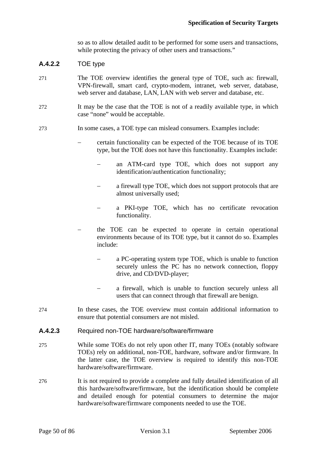so as to allow detailed audit to be performed for some users and transactions, while protecting the privacy of other users and transactions."

#### **A.4.2.2** TOE type

- 271 The TOE overview identifies the general type of TOE, such as: firewall, VPN-firewall, smart card, crypto-modem, intranet, web server, database, web server and database, LAN, LAN with web server and database, etc.
- 272 It may be the case that the TOE is not of a readily available type, in which case "none" would be acceptable.

#### 273 In some cases, a TOE type can mislead consumers. Examples include:

- − certain functionality can be expected of the TOE because of its TOE type, but the TOE does not have this functionality. Examples include:
	- an ATM-card type TOE, which does not support any identification/authentication functionality;
	- a firewall type TOE, which does not support protocols that are almost universally used;
	- − a PKI-type TOE, which has no certificate revocation functionality.
- the TOE can be expected to operate in certain operational environments because of its TOE type, but it cannot do so. Examples include:
	- a PC-operating system type TOE, which is unable to function securely unless the PC has no network connection, floppy drive, and CD/DVD-player;
	- a firewall, which is unable to function securely unless all users that can connect through that firewall are benign.
- 274 In these cases, the TOE overview must contain additional information to ensure that potential consumers are not misled.

#### **A.4.2.3** Required non-TOE hardware/software/firmware

- 275 While some TOEs do not rely upon other IT, many TOEs (notably software TOEs) rely on additional, non-TOE, hardware, software and/or firmware. In the latter case, the TOE overview is required to identify this non-TOE hardware/software/firmware.
- 276 It is not required to provide a complete and fully detailed identification of all this hardware/software/firmware, but the identification should be complete and detailed enough for potential consumers to determine the major hardware/software/firmware components needed to use the TOE.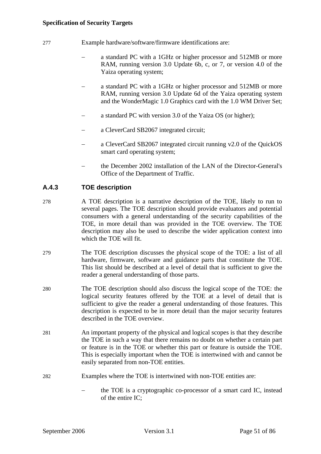#### **Specification of Security Targets**

- 277 Example hardware/software/firmware identifications are:
	- a standard PC with a 1GHz or higher processor and 512MB or more RAM, running version 3.0 Update 6b, c, or 7, or version 4.0 of the Yaiza operating system;
	- − a standard PC with a 1GHz or higher processor and 512MB or more RAM, running version 3.0 Update 6d of the Yaiza operating system and the WonderMagic 1.0 Graphics card with the 1.0 WM Driver Set;
	- a standard PC with version 3.0 of the Yaiza OS (or higher);
	- a CleverCard SB2067 integrated circuit;
	- a CleverCard SB2067 integrated circuit running v2.0 of the QuickOS smart card operating system;
	- the December 2002 installation of the LAN of the Director-General's Office of the Department of Traffic.

#### **A.4.3 TOE description**

- 278 A TOE description is a narrative description of the TOE, likely to run to several pages. The TOE description should provide evaluators and potential consumers with a general understanding of the security capabilities of the TOE, in more detail than was provided in the TOE overview. The TOE description may also be used to describe the wider application context into which the TOE will fit.
- 279 The TOE description discusses the physical scope of the TOE: a list of all hardware, firmware, software and guidance parts that constitute the TOE. This list should be described at a level of detail that is sufficient to give the reader a general understanding of those parts.
- 280 The TOE description should also discuss the logical scope of the TOE: the logical security features offered by the TOE at a level of detail that is sufficient to give the reader a general understanding of those features. This description is expected to be in more detail than the major security features described in the TOE overview.
- 281 An important property of the physical and logical scopes is that they describe the TOE in such a way that there remains no doubt on whether a certain part or feature is in the TOE or whether this part or feature is outside the TOE. This is especially important when the TOE is intertwined with and cannot be easily separated from non-TOE entities.
- 282 Examples where the TOE is intertwined with non-TOE entities are:
	- − the TOE is a cryptographic co-processor of a smart card IC, instead of the entire IC;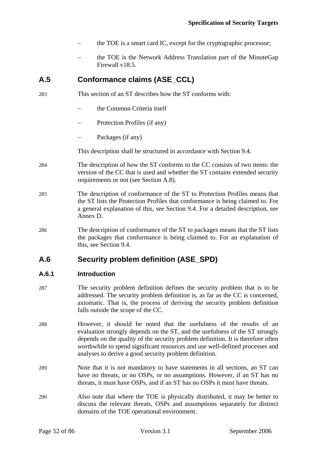- the TOE is a smart card IC, except for the cryptographic processor;
- the TOE is the Network Address Translation part of the MinuteGap Firewall v18.5.

# <span id="page-51-0"></span>**A.5 Conformance claims (ASE\_CCL)**

- 283 This section of an ST describes how the ST conforms with:
	- the Common Criteria itself
	- Protection Profiles (if any)
	- − Packages (if any)

This description shall be structured in accordance with Section [9.4](#page-42-0).

- 284 The description of how the ST conforms to the CC consists of two items: the version of the CC that is used and whether the ST contains extended security requirements or not (see Section [A.8\)](#page-58-0).
- 285 The description of conformance of the ST to Protection Profiles means that the ST lists the Protection Profiles that conformance is being claimed to. For a general explanation of this, see Section [9.4](#page-42-0). For a detailed description, see Annex [D.](#page-82-0)
- 286 The description of conformance of the ST to packages means that the ST lists the packages that conformance is being claimed to. For an explanation of this, see Section [9.4.](#page-42-0)

# <span id="page-51-1"></span>**A.6 Security problem definition (ASE\_SPD)**

#### **A.6.1 Introduction**

- 287 The security problem definition defines the security problem that is to be addressed. The security problem definition is, as far as the CC is concerned, axiomatic. That is, the process of deriving the security problem definition falls outside the scope of the CC.
- 288 However, it should be noted that the usefulness of the results of an evaluation strongly depends on the ST, and the usefulness of the ST strongly depends on the quality of the security problem definition. It is therefore often worthwhile to spend significant resources and use well-defined processes and analyses to derive a good security problem definition.
- 289 Note that it is not mandatory to have statements in all sections, an ST can have no threats, or no OSPs, or no assumptions. However, if an ST has no threats, it must have OSPs, and if an ST has no OSPs it must have threats.
- 290 Also note that where the TOE is physically distributed, it may be better to discuss the relevant threats, OSPs and assumptions separately for distinct domains of the TOE operational environment.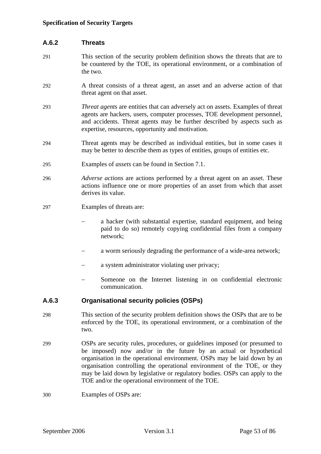#### **A.6.2 Threats**

- 291 This section of the security problem definition shows the threats that are to be countered by the TOE, its operational environment, or a combination of the two.
- 292 A threat consists of a threat agent, an asset and an adverse action of that threat agent on that asset.
- 293 *Threat agents* are entities that can adversely act on assets. Examples of threat agents are hackers, users, computer processes, TOE development personnel, and accidents. Threat agents may be further described by aspects such as expertise, resources, opportunity and motivation.
- 294 Threat agents may be described as individual entities, but in some cases it may be better to describe them as types of entities, groups of entities etc.
- 295 Examples of *assets* can be found in Section [7.1](#page-33-0).
- 296 *Adverse actions* are actions performed by a threat agent on an asset. These actions influence one or more properties of an asset from which that asset derives its value.
- 297 Examples of threats are:
	- a hacker (with substantial expertise, standard equipment, and being paid to do so) remotely copying confidential files from a company network;
	- a worm seriously degrading the performance of a wide-area network;
	- a system administrator violating user privacy;
	- − Someone on the Internet listening in on confidential electronic communication.

#### **A.6.3 Organisational security policies (OSPs)**

- 298 This section of the security problem definition shows the OSPs that are to be enforced by the TOE, its operational environment, or a combination of the two.
- 299 OSPs are security rules, procedures, or guidelines imposed (or presumed to be imposed) now and/or in the future by an actual or hypothetical organisation in the operational environment. OSPs may be laid down by an organisation controlling the operational environment of the TOE, or they may be laid down by legislative or regulatory bodies. OSPs can apply to the TOE and/or the operational environment of the TOE.
- 300 Examples of OSPs are: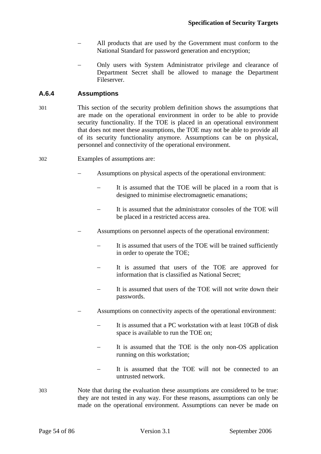- All products that are used by the Government must conform to the National Standard for password generation and encryption;
- Only users with System Administrator privilege and clearance of Department Secret shall be allowed to manage the Department Fileserver.

#### **A.6.4 Assumptions**

- 301 This section of the security problem definition shows the assumptions that are made on the operational environment in order to be able to provide security functionality. If the TOE is placed in an operational environment that does not meet these assumptions, the TOE may not be able to provide all of its security functionality anymore. Assumptions can be on physical, personnel and connectivity of the operational environment.
- 302 Examples of assumptions are:
	- Assumptions on physical aspects of the operational environment:
		- It is assumed that the TOE will be placed in a room that is designed to minimise electromagnetic emanations;
		- It is assumed that the administrator consoles of the TOE will be placed in a restricted access area.
	- Assumptions on personnel aspects of the operational environment:
		- It is assumed that users of the TOE will be trained sufficiently in order to operate the TOE;
		- It is assumed that users of the TOE are approved for information that is classified as National Secret;
		- It is assumed that users of the TOE will not write down their passwords.
	- Assumptions on connectivity aspects of the operational environment:
		- It is assumed that a PC workstation with at least 10GB of disk space is available to run the TOE on;
		- It is assumed that the TOE is the only non-OS application running on this workstation;
		- It is assumed that the TOE will not be connected to an untrusted network.
- 303 Note that during the evaluation these assumptions are considered to be true: they are not tested in any way. For these reasons, assumptions can only be made on the operational environment. Assumptions can never be made on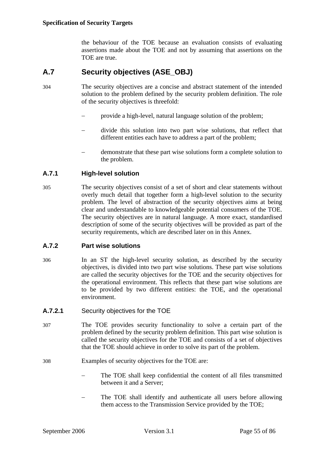the behaviour of the TOE because an evaluation consists of evaluating assertions made about the TOE and not by assuming that assertions on the TOE are true.

# **A.7 Security objectives (ASE\_OBJ)**

- <span id="page-54-0"></span>304 The security objectives are a concise and abstract statement of the intended solution to the problem defined by the security problem definition. The role of the security objectives is threefold:
	- provide a high-level, natural language solution of the problem;
	- divide this solution into two part wise solutions, that reflect that different entities each have to address a part of the problem;
	- − demonstrate that these part wise solutions form a complete solution to the problem.

#### **A.7.1 High-level solution**

305 The security objectives consist of a set of short and clear statements without overly much detail that together form a high-level solution to the security problem. The level of abstraction of the security objectives aims at being clear and understandable to knowledgeable potential consumers of the TOE. The security objectives are in natural language. A more exact, standardised description of some of the security objectives will be provided as part of the security requirements, which are described later on in this Annex.

#### **A.7.2 Part wise solutions**

- 306 In an ST the high-level security solution, as described by the security objectives, is divided into two part wise solutions. These part wise solutions are called the security objectives for the TOE and the security objectives for the operational environment. This reflects that these part wise solutions are to be provided by two different entities: the TOE, and the operational environment.
- **A.7.2.1** Security objectives for the TOE
- 307 The TOE provides security functionality to solve a certain part of the problem defined by the security problem definition. This part wise solution is called the security objectives for the TOE and consists of a set of objectives that the TOE should achieve in order to solve its part of the problem.
- 308 Examples of security objectives for the TOE are:
	- The TOE shall keep confidential the content of all files transmitted between it and a Server;
	- − The TOE shall identify and authenticate all users before allowing them access to the Transmission Service provided by the TOE;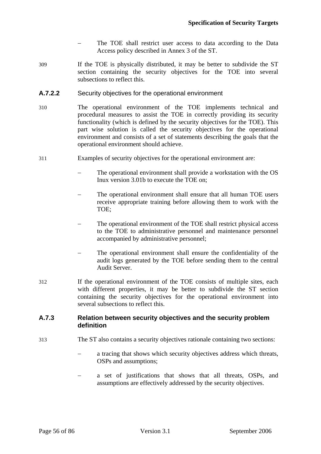- The TOE shall restrict user access to data according to the Data Access policy described in Annex 3 of the ST.
- 309 If the TOE is physically distributed, it may be better to subdivide the ST section containing the security objectives for the TOE into several subsections to reflect this.
- **A.7.2.2** Security objectives for the operational environment
- 310 The operational environment of the TOE implements technical and procedural measures to assist the TOE in correctly providing its security functionality (which is defined by the security objectives for the TOE). This part wise solution is called the security objectives for the operational environment and consists of a set of statements describing the goals that the operational environment should achieve.
- 311 Examples of security objectives for the operational environment are:
	- The operational environment shall provide a workstation with the OS Inux version 3.01b to execute the TOE on;
	- The operational environment shall ensure that all human TOE users receive appropriate training before allowing them to work with the TOE;
	- The operational environment of the TOE shall restrict physical access to the TOE to administrative personnel and maintenance personnel accompanied by administrative personnel;
	- The operational environment shall ensure the confidentiality of the audit logs generated by the TOE before sending them to the central Audit Server.
- 312 If the operational environment of the TOE consists of multiple sites, each with different properties, it may be better to subdivide the ST section containing the security objectives for the operational environment into several subsections to reflect this.

#### **A.7.3 Relation between security objectives and the security problem definition**

- 313 The ST also contains a security objectives rationale containing two sections:
	- a tracing that shows which security objectives address which threats, OSPs and assumptions;
	- a set of justifications that shows that all threats, OSPs, and assumptions are effectively addressed by the security objectives.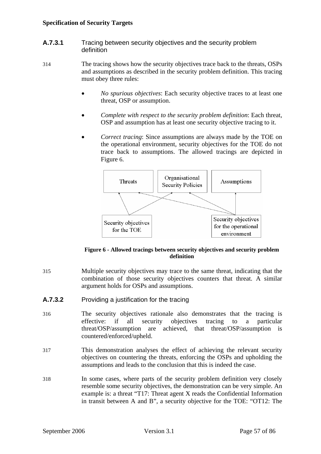- **A.7.3.1** Tracing between security objectives and the security problem definition
- 314 The tracing shows how the security objectives trace back to the threats, OSPs and assumptions as described in the security problem definition. This tracing must obey three rules:
	- *No spurious objectives*: Each security objective traces to at least one threat, OSP or assumption.
	- *Complete with respect to the security problem definition*: Each threat, OSP and assumption has at least one security objective tracing to it.
	- *Correct tracing*: Since assumptions are always made by the TOE on the operational environment, security objectives for the TOE do not trace back to assumptions. The allowed tracings are depicted in Figure [6](#page-56-0).



#### **Figure 6 - Allowed tracings between security objectives and security problem definition**

- <span id="page-56-0"></span>315 Multiple security objectives may trace to the same threat, indicating that the combination of those security objectives counters that threat. A similar argument holds for OSPs and assumptions.
- **A.7.3.2** Providing a justification for the tracing
- 316 The security objectives rationale also demonstrates that the tracing is effective: if all security objectives tracing to a particular threat/OSP/assumption are achieved, that threat/OSP/assumption is countered/enforced/upheld.
- 317 This demonstration analyses the effect of achieving the relevant security objectives on countering the threats, enforcing the OSPs and upholding the assumptions and leads to the conclusion that this is indeed the case.
- 318 In some cases, where parts of the security problem definition very closely resemble some security objectives, the demonstration can be very simple. An example is: a threat "T17: Threat agent X reads the Confidential Information in transit between A and B", a security objective for the TOE: "OT12: The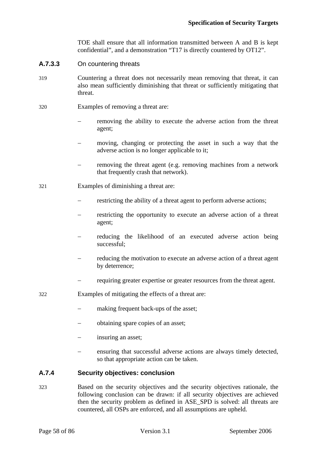TOE shall ensure that all information transmitted between A and B is kept confidential", and a demonstration "T17 is directly countered by OT12".

- **A.7.3.3** On countering threats
- 319 Countering a threat does not necessarily mean removing that threat, it can also mean sufficiently diminishing that threat or sufficiently mitigating that threat.
- 320 Examples of removing a threat are:
	- removing the ability to execute the adverse action from the threat agent;
	- moving, changing or protecting the asset in such a way that the adverse action is no longer applicable to it;
	- removing the threat agent (e.g. removing machines from a network that frequently crash that network).
- 321 Examples of diminishing a threat are:
	- restricting the ability of a threat agent to perform adverse actions;
	- restricting the opportunity to execute an adverse action of a threat agent;
	- reducing the likelihood of an executed adverse action being successful;
	- reducing the motivation to execute an adverse action of a threat agent by deterrence;
	- − requiring greater expertise or greater resources from the threat agent.
- 322 Examples of mitigating the effects of a threat are:
	- − making frequent back-ups of the asset;
	- − obtaining spare copies of an asset;
	- insuring an asset;
	- ensuring that successful adverse actions are always timely detected, so that appropriate action can be taken.

#### **A.7.4 Security objectives: conclusion**

323 Based on the security objectives and the security objectives rationale, the following conclusion can be drawn: if all security objectives are achieved then the security problem as defined in [ASE\\_SPD](#page-0-0) is solved: all threats are countered, all OSPs are enforced, and all assumptions are upheld.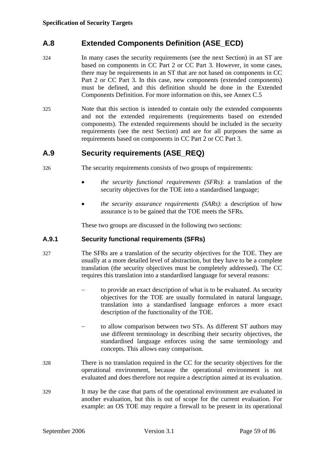# <span id="page-58-0"></span>**A.8 Extended Components Definition (ASE\_ECD)**

- 324 In many cases the security requirements (see the next Section) in an ST are based on components in CC Part 2 or CC Part 3. However, in some cases, there may be requirements in an ST that are not based on components in CC Part 2 or CC Part 3. In this case, new components (extended components) must be defined, and this definition should be done in the Extended Components Definition. For more information on this, see Annex [C.5](#page-80-0)
- 325 Note that this section is intended to contain only the extended components and not the extended requirements (requirements based on extended components). The extended requirements should be included in the security requirements (see the next Section) and are for all purposes the same as requirements based on components in CC Part 2 or CC Part 3.

# <span id="page-58-1"></span>**A.9 Security requirements (ASE\_REQ)**

- 326 The security requirements consists of two groups of requirements:
	- *the security functional requirements (SFRs)*: a translation of the security objectives for the TOE into a standardised language;
	- *the security assurance requirements (SARs)*: a description of how assurance is to be gained that the TOE meets the SFRs.

These two groups are discussed in the following two sections:

#### **A.9.1 Security functional requirements (SFRs)**

- 327 The SFRs are a translation of the security objectives for the TOE. They are usually at a more detailed level of abstraction, but they have to be a complete translation (the security objectives must be completely addressed). The CC requires this translation into a standardised language for several reasons:
	- to provide an exact description of what is to be evaluated. As security objectives for the TOE are usually formulated in natural language, translation into a standardised language enforces a more exact description of the functionality of the TOE.
	- to allow comparison between two STs. As different ST authors may use different terminology in describing their security objectives, the standardised language enforces using the same terminology and concepts. This allows easy comparison.
- 328 There is no translation required in the CC for the security objectives for the operational environment, because the operational environment is not evaluated and does therefore not require a description aimed at its evaluation.
- 329 It may be the case that parts of the operational environment are evaluated in another evaluation, but this is out of scope for the current evaluation. For example: an OS TOE may require a firewall to be present in its operational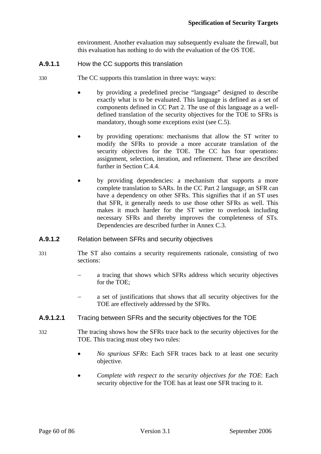environment. Another evaluation may subsequently evaluate the firewall, but this evaluation has nothing to do with the evaluation of the OS TOE.

- **A.9.1.1** How the CC supports this translation
- 330 The CC supports this translation in three ways: ways:
	- by providing a predefined precise "language" designed to describe exactly what is to be evaluated. This language is defined as a set of components defined in CC Part 2. The use of this language as a welldefined translation of the security objectives for the TOE to SFRs is mandatory, though some exceptions exist (see [C.5](#page-80-0)).
	- by providing operations: mechanisms that allow the ST writer to modify the SFRs to provide a more accurate translation of the security objectives for the TOE. The CC has four operations: assignment, selection, iteration, and refinement. These are described further in Section [C.4.4.](#page-79-0)
	- by providing dependencies: a mechanism that supports a more complete translation to SARs. In the CC Part 2 language, an SFR can have a dependency on other SFRs. This signifies that if an ST uses that SFR, it generally needs to use those other SFRs as well. This makes it much harder for the ST writer to overlook including necessary SFRs and thereby improves the completeness of STs. Dependencies are described further in Annex [C.3.](#page-75-0)
- **A.9.1.2** Relation between SFRs and security objectives
- 331 The ST also contains a security requirements rationale, consisting of two sections:
	- a tracing that shows which SFRs address which security objectives for the TOE;
	- a set of justifications that shows that all security objectives for the TOE are effectively addressed by the SFRs.
- **A.9.1.2.1** Tracing between SFRs and the security objectives for the TOE
- 332 The tracing shows how the SFRs trace back to the security objectives for the TOE. This tracing must obey two rules:
	- *No spurious SFRs*: Each SFR traces back to at least one security objective.
	- *Complete with respect to the security objectives for the TOE*: Each security objective for the TOE has at least one SFR tracing to it.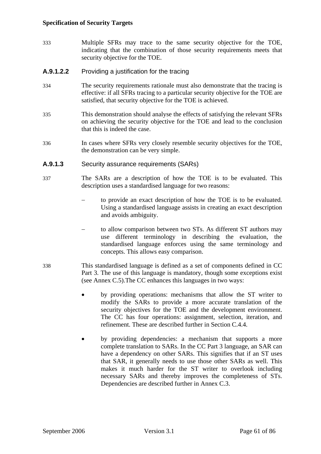333 Multiple SFRs may trace to the same security objective for the TOE, indicating that the combination of those security requirements meets that security objective for the TOE.

#### **A.9.1.2.2** Providing a justification for the tracing

- 334 The security requirements rationale must also demonstrate that the tracing is effective: if all SFRs tracing to a particular security objective for the TOE are satisfied, that security objective for the TOE is achieved.
- 335 This demonstration should analyse the effects of satisfying the relevant SFRs on achieving the security objective for the TOE and lead to the conclusion that this is indeed the case.
- 336 In cases where SFRs very closely resemble security objectives for the TOE, the demonstration can be very simple.

#### **A.9.1.3** Security assurance requirements (SARs)

- 337 The SARs are a description of how the TOE is to be evaluated. This description uses a standardised language for two reasons:
	- to provide an exact description of how the TOE is to be evaluated. Using a standardised language assists in creating an exact description and avoids ambiguity.
	- to allow comparison between two STs. As different ST authors may use different terminology in describing the evaluation, the standardised language enforces using the same terminology and concepts. This allows easy comparison.
- 338 This standardised language is defined as a set of components defined in CC Part 3. The use of this language is mandatory, though some exceptions exist (see Annex [C.5](#page-80-0)).The CC enhances this languages in two ways:
	- by providing operations: mechanisms that allow the ST writer to modify the SARs to provide a more accurate translation of the security objectives for the TOE and the development environment. The CC has four operations: assignment, selection, iteration, and refinement. These are described further in Section [C.4.4](#page-79-0).
	- by providing dependencies: a mechanism that supports a more complete translation to SARs. In the CC Part 3 language, an SAR can have a dependency on other SARs. This signifies that if an ST uses that SAR, it generally needs to use those other SARs as well. This makes it much harder for the ST writer to overlook including necessary SARs and thereby improves the completeness of STs. Dependencies are described further in Annex [C.3](#page-75-0).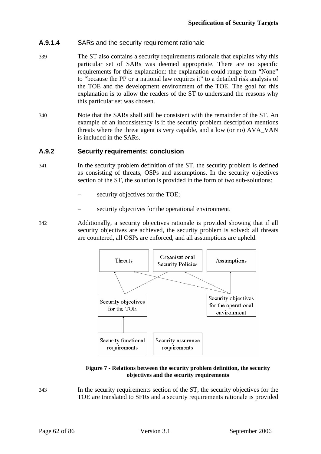#### **A.9.1.4** SARs and the security requirement rationale

- 339 The ST also contains a security requirements rationale that explains why this particular set of SARs was deemed appropriate. There are no specific requirements for this explanation: the explanation could range from "None" to "because the PP or a national law requires it" to a detailed risk analysis of the TOE and the development environment of the TOE. The goal for this explanation is to allow the readers of the ST to understand the reasons why this particular set was chosen.
- 340 Note that the SARs shall still be consistent with the remainder of the ST. An example of an inconsistency is if the security problem description mentions threats where the threat agent is very capable, and a low (or no) [AVA\\_VAN](#page-85-0) is included in the SARs.

#### **A.9.2 Security requirements: conclusion**

- 341 In the security problem definition of the ST, the security problem is defined as consisting of threats, OSPs and assumptions. In the security objectives section of the ST, the solution is provided in the form of two sub-solutions:
	- security objectives for the TOE;
	- security objectives for the operational environment.
- 342 Additionally, a security objectives rationale is provided showing that if all security objectives are achieved, the security problem is solved: all threats are countered, all OSPs are enforced, and all assumptions are upheld.



#### **Figure 7 - Relations between the security problem definition, the security objectives and the security requirements**

<span id="page-61-0"></span>343 In the security requirements section of the ST, the security objectives for the TOE are translated to SFRs and a security requirements rationale is provided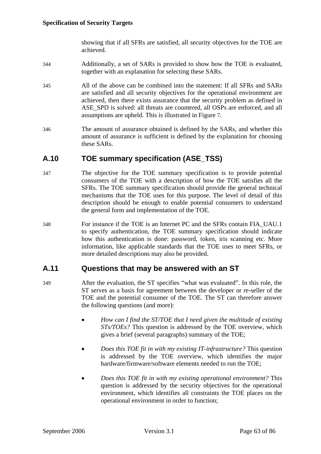showing that if all SFRs are satisfied, all security objectives for the TOE are achieved.

- 344 Additionally, a set of SARs is provided to show how the TOE is evaluated, together with an explanation for selecting these SARs.
- 345 All of the above can be combined into the statement: If all SFRs and SARs are satisfied and all security objectives for the operational environment are achieved, then there exists assurance that the security problem as defined in ASE SPD is solved: all threats are countered, all OSPs are enforced, and all assumptions are upheld. This is illustrated in Figure [7](#page-61-0).
- 346 The amount of assurance obtained is defined by the SARs, and whether this amount of assurance is sufficient is defined by the explanation for choosing these SARs.

# **A.10 TOE summary specification (ASE\_TSS)**

- <span id="page-62-0"></span>347 The objective for the TOE summary specification is to provide potential consumers of the TOE with a description of how the TOE satisfies all the SFRs. The TOE summary specification should provide the general technical mechanisms that the TOE uses for this purpose. The level of detail of this description should be enough to enable potential consumers to understand the general form and implementation of the TOE.
- 348 For instance if the TOE is an Internet PC and the SFRs contain [FIA\\_UAU.1](#page-85-0) to specify authentication, the TOE summary specification should indicate how this authentication is done: password, token, iris scanning etc. More information, like applicable standards that the TOE uses to meet SFRs, or more detailed descriptions may also be provided.

#### <span id="page-62-1"></span>**A.11 Questions that may be answered with an ST**

- 349 After the evaluation, the ST specifies "what was evaluated". In this role, the ST serves as a basis for agreement between the developer or re-seller of the TOE and the potential consumer of the TOE. The ST can therefore answer the following questions (and more):
	- *How can I find the ST/TOE that I need given the multitude of existing STs/TOEs?* This question is addressed by the TOE overview, which gives a brief (several paragraphs) summary of the TOE;
	- *Does this TOE fit in with my existing IT-infrastructure?* This question is addressed by the TOE overview, which identifies the major hardware/firmware/software elements needed to run the TOE;
	- *Does this TOE fit in with my existing operational environment?* This question is addressed by the security objectives for the operational environment, which identifies all constraints the TOE places on the operational environment in order to function;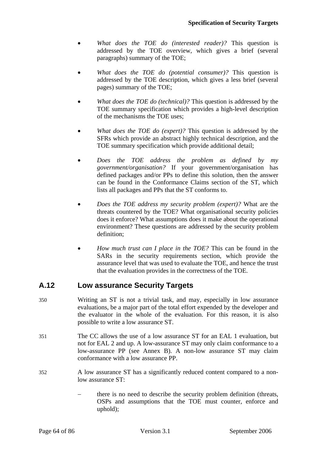- *What does the TOE do (interested reader)?* This question is addressed by the TOE overview, which gives a brief (several paragraphs) summary of the TOE;
- *What does the TOE do (potential consumer)?* This question is addressed by the TOE description, which gives a less brief (several pages) summary of the TOE;
- *What does the TOE do (technical)?* This question is addressed by the TOE summary specification which provides a high-level description of the mechanisms the TOE uses;
- *What does the TOE do (expert)?* This question is addressed by the SFRs which provide an abstract highly technical description, and the TOE summary specification which provide additional detail;
- *Does the TOE address the problem as defined by my government/organisation?* If your government/organisation has defined packages and/or PPs to define this solution, then the answer can be found in the Conformance Claims section of the ST, which lists all packages and PPs that the ST conforms to.
- *Does the TOE address my security problem (expert)?* What are the threats countered by the TOE? What organisational security policies does it enforce? What assumptions does it make about the operational environment? These questions are addressed by the security problem definition;
- *How much trust can I place in the TOE?* This can be found in the SARs in the security requirements section, which provide the assurance level that was used to evaluate the TOE, and hence the trust that the evaluation provides in the correctness of the TOE.

# <span id="page-63-0"></span>**A.12 Low assurance Security Targets**

- 350 Writing an ST is not a trivial task, and may, especially in low assurance evaluations, be a major part of the total effort expended by the developer and the evaluator in the whole of the evaluation. For this reason, it is also possible to write a low assurance ST.
- 351 The CC allows the use of a low assurance ST for an EAL 1 evaluation, but not for EAL 2 and up. A low-assurance ST may only claim conformance to a low-assurance PP (see Annex [B](#page-67-0)). A non-low assurance ST may claim conformance with a low assurance PP.
- 352 A low assurance ST has a significantly reduced content compared to a nonlow assurance ST:
	- there is no need to describe the security problem definition (threats, OSPs and assumptions that the TOE must counter, enforce and uphold);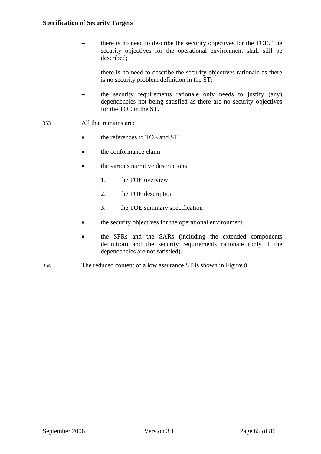- − there is no need to describe the security objectives for the TOE. The security objectives for the operational environment shall still be described;
- there is no need to describe the security objectives rationale as there is no security problem definition in the ST;
- − the security requirements rationale only needs to justify (any) dependencies not being satisfied as there are no security objectives for the TOE in the ST.
- 353 All that remains are:
	- the references to TOE and ST
	- the conformance claim
	- the various narrative descriptions
		- 1. the TOE overview
		- 2. the TOE description
		- 3. the TOE summary specification
	- the security objectives for the operational environment
	- the SFRs and the SARs (including the extended components definition) and the security requirements rationale (only if the dependencies are not satisfied).
- 354 The reduced content of a low assurance ST is shown in Figure [8.](#page-65-1)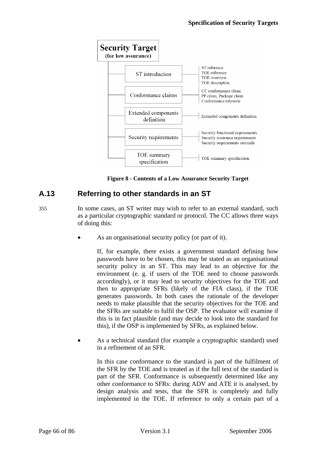

**Figure 8 - Contents of a Low Assurance Security Target** 

# <span id="page-65-1"></span><span id="page-65-0"></span>**A.13 Referring to other standards in an ST**

- 355 In some cases, an ST writer may wish to refer to an external standard, such as a particular cryptographic standard or protocol. The CC allows three ways of doing this:
	- As an organisational security policy (or part of it).

If, for example, there exists a government standard defining how passwords have to be chosen, this may be stated as an organisational security policy in an ST. This may lead to an objective for the environment (e. g. if users of the TOE need to choose passwords accordingly), or it may lead to security objectives for the TOE and then to appropriate SFRs (likely of the [FIA](#page-85-0) class), if the TOE generates passwords. In both cases the rationale of the developer needs to make plausible that the security objectives for the TOE and the SFRs are suitable to fulfil the OSP. The evaluator will examine if this is in fact plausible (and may decide to look into the standard for this), if the OSP is implemented by SFRs, as explained below.

As a technical standard (for example a cryptographic standard) used in a refinement of an SFR.

In this case conformance to the standard is part of the fulfilment of the SFR by the TOE and is treated as if the full text of the standard is part of the SFR. Conformance is subsequently determined like any other conformance to SFRs: during [ADV](#page-85-0) and [ATE](#page-85-0) it is analysed, by design analysis and tests, that the SFR is completely and fully implemented in the TOE. If reference to only a certain part of a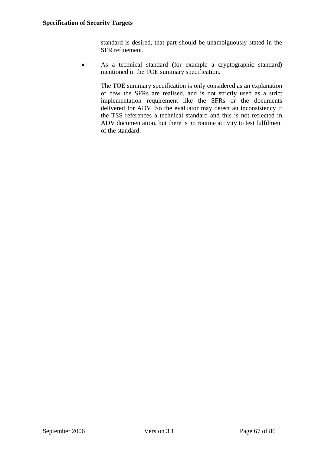standard is desired, that part should be unambiguously stated in the SFR refinement.

• As a technical standard (for example a cryptographic standard) mentioned in the TOE summary specification.

The TOE summary specification is only considered as an explanation of how the SFRs are realised, and is not strictly used as a strict implementation requirement like the SFRs or the documents delivered for [ADV](#page-85-0). So the evaluator may detect an inconsistency if the TSS references a technical standard and this is not reflected in [ADV](#page-85-0) documentation, but there is no routine activity to test fulfilment of the standard.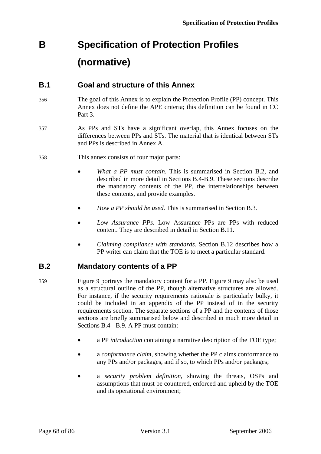# <span id="page-67-0"></span>**B Specification of Protection Profiles (normative)**

# **B.1 Goal and structure of this Annex**

- 356 The goal of this Annex is to explain the Protection Profile (PP) concept. This Annex does not define the [APE](#page-85-0) criteria; this definition can be found in CC Part 3.
- 357 As PPs and STs have a significant overlap, this Annex focuses on the differences between PPs and STs. The material that is identical between STs and PPs is described in Annex [A](#page-45-0).
- 358 This annex consists of four major parts:
	- *What a PP must contain*. This is summarised in Section [B.2,](#page-67-1) and described in more detail in Sections [B.4](#page-69-0)[-B.9](#page-71-0). These sections describe the mandatory contents of the PP, the interrelationships between these contents, and provide examples.
	- *How a PP should be used*. This is summarised in Section [B.3](#page-68-0).
	- *Low Assurance PPs*. Low Assurance PPs are PPs with reduced content. They are described in detail in Section [B.11.](#page-72-0)
	- *Claiming compliance with standards*. Section [B.12](#page-73-0) describes how a PP writer can claim that the TOE is to meet a particular standard.

# <span id="page-67-1"></span>**B.2 Mandatory contents of a PP**

- 359 Figure [9](#page-68-1) portrays the mandatory content for a PP. Figure [9](#page-68-1) may also be used as a structural outline of the PP, though alternative structures are allowed. For instance, if the security requirements rationale is particularly bulky, it could be included in an appendix of the PP instead of in the security requirements section. The separate sections of a PP and the contents of those sections are briefly summarised below and described in much more detail in Sections [B.4](#page-69-0) - [B.9.](#page-71-0) A PP must contain:
	- a PP *introduction* containing a narrative description of the TOE type;
	- a *conformance claim*, showing whether the PP claims conformance to any PPs and/or packages, and if so, to which PPs and/or packages;
	- a *security problem definition*, showing the threats, OSPs and assumptions that must be countered, enforced and upheld by the TOE and its operational environment;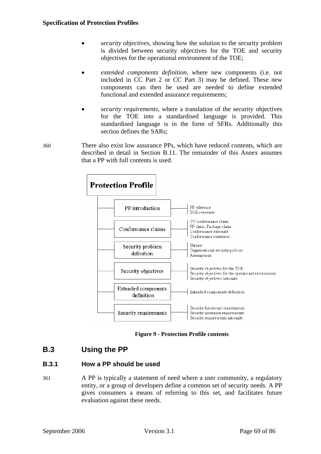- *security objectives*, showing how the solution to the security problem is divided between security objectives for the TOE and security objectives for the operational environment of the TOE;
- *extended components definition*, where new components (i.e. not included in CC Part 2 or CC Part 3) may be defined. These new components can then be used are needed to define extended functional and extended assurance requirements;
- *security requirements*, where a translation of the security objectives for the TOE into a standardised language is provided. This standardised language is in the form of SFRs. Additionally this section defines the SARs;
- 360 There also exist low assurance PPs, which have reduced contents, which are described in detail in Section [B.11](#page-72-0). The remainder of this Annex assumes that a PP with full contents is used.



**Figure 9 - Protection Profile contents** 

# <span id="page-68-1"></span><span id="page-68-0"></span>**B.3 Using the PP**

#### **B.3.1 How a PP should be used**

361 A PP is typically a statement of need where a user community, a regulatory entity, or a group of developers define a common set of security needs. A PP gives consumers a means of referring to this set, and facilitates future evaluation against these needs.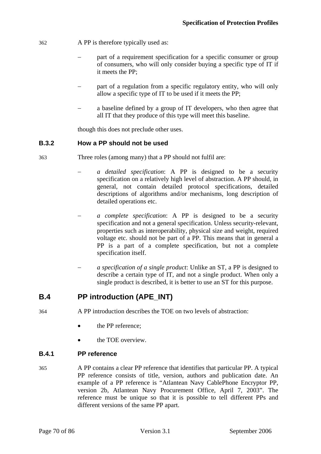- 362 A PP is therefore typically used as:
	- part of a requirement specification for a specific consumer or group of consumers, who will only consider buying a specific type of IT if it meets the PP;
	- part of a regulation from a specific regulatory entity, who will only allow a specific type of IT to be used if it meets the PP;
	- a baseline defined by a group of IT developers, who then agree that all IT that they produce of this type will meet this baseline.

though this does not preclude other uses.

#### **B.3.2 How a PP should not be used**

- 363 Three roles (among many) that a PP should not fulfil are:
	- − *a detailed specification*: A PP is designed to be a security specification on a relatively high level of abstraction. A PP should, in general, not contain detailed protocol specifications, detailed descriptions of algorithms and/or mechanisms, long description of detailed operations etc.
	- − *a complete specification*: A PP is designed to be a security specification and not a general specification. Unless security-relevant, properties such as interoperability, physical size and weight, required voltage etc. should not be part of a PP. This means that in general a PP is a part of a complete specification, but not a complete specification itself.
	- − *a specification of a single product*: Unlike an ST, a PP is designed to describe a certain type of IT, and not a single product. When only a single product is described, it is better to use an ST for this purpose.

# <span id="page-69-0"></span>**B.4 PP introduction (APE\_INT)**

- 364 A PP introduction describes the TOE on two levels of abstraction:
	- the PP reference;
	- the TOE overview.

#### **B.4.1 PP reference**

365 A PP contains a clear PP reference that identifies that particular PP. A typical PP reference consists of title, version, authors and publication date. An example of a PP reference is "Atlantean Navy CablePhone Encryptor PP, version 2b, Atlantean Navy Procurement Office, April 7, 2003". The reference must be unique so that it is possible to tell different PPs and different versions of the same PP apart.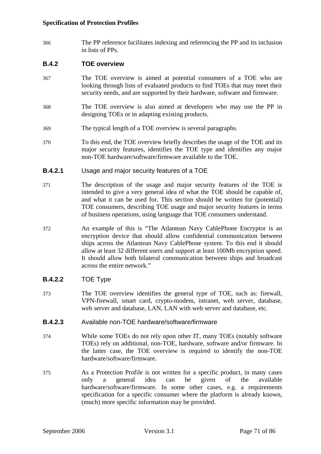366 The PP reference facilitates indexing and referencing the PP and its inclusion in lists of PPs.

#### **B.4.2 TOE overview**

- 367 The TOE overview is aimed at potential consumers of a TOE who are looking through lists of evaluated products to find TOEs that may meet their security needs, and are supported by their hardware, software and firmware.
- 368 The TOE overview is also aimed at developers who may use the PP in designing TOEs or in adapting existing products.
- 369 The typical length of a TOE overview is several paragraphs.
- 370 To this end, the TOE overview briefly describes the usage of the TOE and its major security features, identifies the TOE type and identifies any major non-TOE hardware/software/firmware available to the TOE.

#### **B.4.2.1** Usage and major security features of a TOE

- 371 The description of the usage and major security features of the TOE is intended to give a very general idea of what the TOE should be capable of, and what it can be used for. This section should be written for (potential) TOE consumers, describing TOE usage and major security features in terms of business operations, using language that TOE consumers understand.
- 372 An example of this is "The Atlantean Navy CablePhone Encryptor is an encryption device that should allow confidential communication between ships across the Atlantean Navy CablePhone system. To this end it should allow at least 32 different users and support at least 100Mb encryption speed. It should allow both bilateral communication between ships and broadcast across the entire network."

#### **B.4.2.2** TOE Type

373 The TOE overview identifies the general type of TOE, such as: firewall, VPN-firewall, smart card, crypto-modem, intranet, web server, database, web server and database, LAN, LAN with web server and database, etc.

#### **B.4.2.3** Available non-TOE hardware/software/firmware

- 374 While some TOEs do not rely upon other IT, many TOEs (notably software TOEs) rely on additional, non-TOE, hardware, software and/or firmware. In the latter case, the TOE overview is required to identify the non-TOE hardware/software/firmware.
- 375 As a Protection Profile is not written for a specific product, in many cases only a general idea can be given of the available hardware/software/firmware. In some other cases, e.g. a requirements specification for a specific consumer where the platform is already known, (much) more specific information may be provided.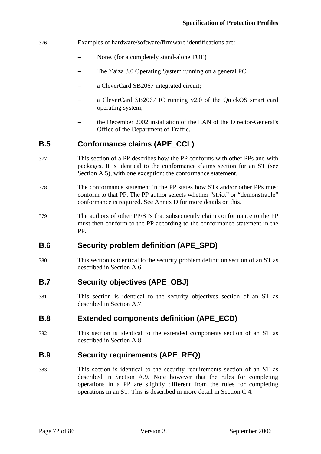#### 376 Examples of hardware/software/firmware identifications are:

- None. (for a completely stand-alone TOE)
- The Yaiza 3.0 Operating System running on a general PC.
- a CleverCard SB2067 integrated circuit;
- a CleverCard SB2067 IC running v2.0 of the QuickOS smart card operating system;
- the December 2002 installation of the LAN of the Director-General's Office of the Department of Traffic.

# **B.5 Conformance claims (APE\_CCL)**

- 377 This section of a PP describes how the PP conforms with other PPs and with packages. It is identical to the conformance claims section for an ST (see Section [A.5\)](#page-51-0), with one exception: the conformance statement.
- 378 The conformance statement in the PP states how STs and/or other PPs must conform to that PP. The PP author selects whether "strict" or "demonstrable" conformance is required. See Annex [D](#page-82-0) for more details on this.
- 379 The authors of other PP/STs that subsequently claim conformance to the PP must then conform to the PP according to the conformance statement in the PP.

# **B.6 Security problem definition (APE\_SPD)**

380 This section is identical to the security problem definition section of an ST as described in Section [A.6.](#page-51-1)

# **B.7 Security objectives (APE\_OBJ)**

381 This section is identical to the security objectives section of an ST as described in Section [A.7.](#page-54-0)

# **B.8 Extended components definition (APE\_ECD)**

382 This section is identical to the extended components section of an ST as described in Section [A.8.](#page-58-0)

#### <span id="page-71-0"></span>**B.9 Security requirements (APE\_REQ)**

383 This section is identical to the security requirements section of an ST as described in Section [A.9](#page-58-1). Note however that the rules for completing operations in a PP are slightly different from the rules for completing operations in an ST. This is described in more detail in Section [C.4.](#page-76-0)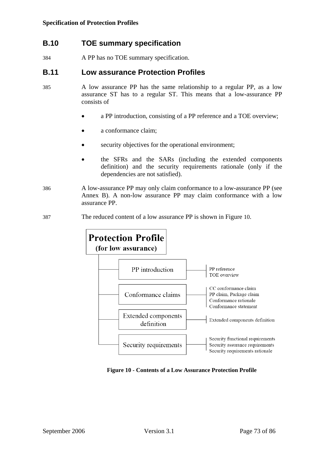# **B.10 TOE summary specification**

384 A PP has no TOE summary specification.

## **B.11 Low assurance Protection Profiles**

- 385 A low assurance PP has the same relationship to a regular PP, as a low assurance ST has to a regular ST. This means that a low-assurance PP consists of
	- a PP introduction, consisting of a PP reference and a TOE overview;
	- a conformance claim;
	- security objectives for the operational environment;
	- the SFRs and the SARs (including the extended components definition) and the security requirements rationale (only if the dependencies are not satisfied).
- 386 A low-assurance PP may only claim conformance to a low-assurance PP (see Annex [B\)](#page-67-0). A non-low assurance PP may claim conformance with a low assurance PP.
- 387 The reduced content of a low assurance PP is shown in Figure [10](#page-72-0).



<span id="page-72-0"></span>**Figure 10 - Contents of a Low Assurance Protection Profile**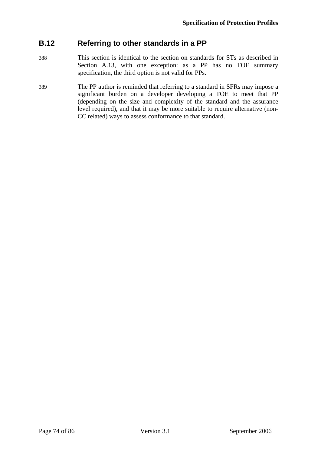# **B.12 Referring to other standards in a PP**

- 388 This section is identical to the section on standards for STs as described in Section [A.13](#page-65-0), with one exception: as a PP has no TOE summary specification, the third option is not valid for PPs.
- 389 The PP author is reminded that referring to a standard in SFRs may impose a significant burden on a developer developing a TOE to meet that PP (depending on the size and complexity of the standard and the assurance level required), and that it may be more suitable to require alternative (non-CC related) ways to assess conformance to that standard.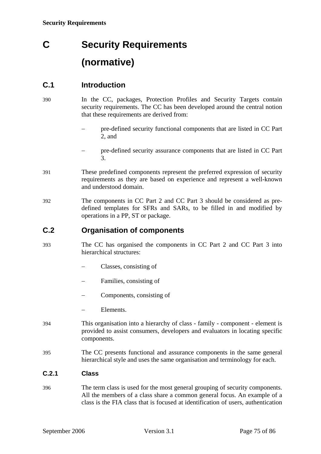# **C Security Requirements (normative)**

# **C.1 Introduction**

- 390 In the CC, packages, Protection Profiles and Security Targets contain security requirements. The CC has been developed around the central notion that these requirements are derived from:
	- − pre-defined security functional components that are listed in CC Part 2, and
	- − pre-defined security assurance components that are listed in CC Part 3.
- 391 These predefined components represent the preferred expression of security requirements as they are based on experience and represent a well-known and understood domain.
- 392 The components in CC Part 2 and CC Part 3 should be considered as predefined templates for SFRs and SARs, to be filled in and modified by operations in a PP, ST or package.

## **C.2 Organisation of components**

- 393 The CC has organised the components in CC Part 2 and CC Part 3 into hierarchical structures:
	- − Classes, consisting of
	- − Families, consisting of
	- − Components, consisting of
	- Elements.
- 394 This organisation into a hierarchy of class family component element is provided to assist consumers, developers and evaluators in locating specific components.
- 395 The CC presents functional and assurance components in the same general hierarchical style and uses the same organisation and terminology for each.

## **C.2.1 Class**

396 The term class is used for the most general grouping of security components. All the members of a class share a common general focus. An example of a class is the [FIA](#page-85-0) class that is focused at identification of users, authentication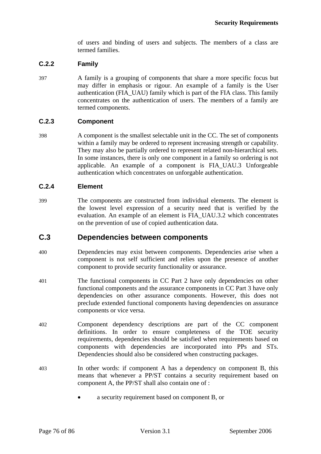of users and binding of users and subjects. The members of a class are termed families.

## **C.2.2 Family**

397 A family is a grouping of components that share a more specific focus but may differ in emphasis or rigour. An example of a family is the [User](#page-85-1)  [authentication \(FIA\\_UAU\)](#page-85-1) family which is part of the [FIA](#page-85-0) class. This family concentrates on the authentication of users. The members of a family are termed components.

## **C.2.3 Component**

398 A component is the smallest selectable unit in the CC. The set of components within a family may be ordered to represent increasing strength or capability. They may also be partially ordered to represent related non-hierarchical sets. In some instances, there is only one component in a family so ordering is not applicable. An example of a component is [FIA\\_UAU.3 Unforgeable](#page-85-1)  [authentication](#page-85-1) which concentrates on unforgable authentication.

## **C.2.4 Element**

399 The components are constructed from individual elements. The element is the lowest level expression of a security need that is verified by the evaluation. An example of an element is [FIA\\_UAU.3.2](#page-85-1) which concentrates on the prevention of use of copied authentication data.

## **C.3 Dependencies between components**

- 400 Dependencies may exist between components. Dependencies arise when a component is not self sufficient and relies upon the presence of another component to provide security functionality or assurance.
- 401 The functional components in CC Part 2 have only dependencies on other functional components and the assurance components in CC Part 3 have only dependencies on other assurance components. However, this does not preclude extended functional components having dependencies on assurance components or vice versa.
- 402 Component dependency descriptions are part of the CC component definitions. In order to ensure completeness of the TOE security requirements, dependencies should be satisfied when requirements based on components with dependencies are incorporated into PPs and STs. Dependencies should also be considered when constructing packages.
- 403 In other words: if component A has a dependency on component B, this means that whenever a PP/ST contains a security requirement based on component A, the PP/ST shall also contain one of :
	- a security requirement based on component B, or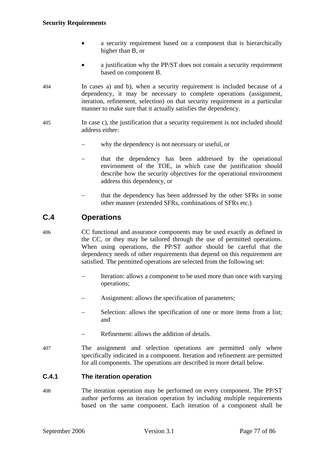#### **Security Requirements**

- a security requirement based on a component that is hierarchically higher than B, or
- a justification why the PP/ST does not contain a security requirement based on component B.
- 404 In cases a) and b), when a security requirement is included because of a dependency, it may be necessary to complete operations (assignment, iteration, refinement, selection) on that security requirement in a particular manner to make sure that it actually satisfies the dependency.
- 405 In case c), the justification that a security requirement is not included should address either:
	- why the dependency is not necessary or useful, or
	- − that the dependency has been addressed by the operational environment of the TOE, in which case the justification should describe how the security objectives for the operational environment address this dependency, or
	- that the dependency has been addressed by the other SFRs in some other manner (extended SFRs, combinations of SFRs etc.)

# **C.4 Operations**

406 CC functional and assurance components may be used exactly as defined in the CC, or they may be tailored through the use of permitted operations. When using operations, the PP/ST author should be careful that the dependency needs of other requirements that depend on this requirement are satisfied. The permitted operations are selected from the following set:

- Iteration: allows a component to be used more than once with varying operations;
- Assignment: allows the specification of parameters;
- Selection: allows the specification of one or more items from a list; and
- Refinement: allows the addition of details.
- 407 The assignment and selection operations are permitted only where specifically indicated in a component. Iteration and refinement are permitted for all components. The operations are described in more detail below.

## **C.4.1 The iteration operation**

408 The iteration operation may be performed on every component. The PP/ST author performs an iteration operation by including multiple requirements based on the same component. Each iteration of a component shall be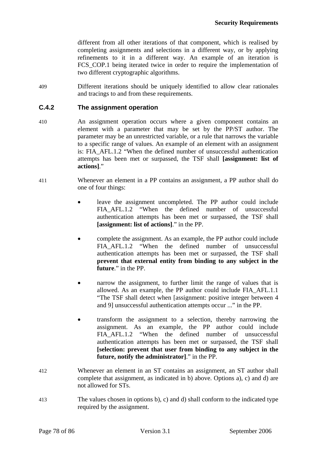different from all other iterations of that component, which is realised by completing assignments and selections in a different way, or by applying refinements to it in a different way. An example of an iteration is FCS COP.1 being iterated twice in order to require the implementation of two different cryptographic algorithms.

409 Different iterations should be uniquely identified to allow clear rationales and tracings to and from these requirements.

## **C.4.2 The assignment operation**

- 410 An assignment operation occurs where a given component contains an element with a parameter that may be set by the PP/ST author. The parameter may be an unrestricted variable, or a rule that narrows the variable to a specific range of values. An example of an element with an assignment is: [FIA\\_AFL.1.2](#page-85-1) "When the defined number of unsuccessful authentication attempts has been met or surpassed, the TSF shall **[assignment: list of actions]**."
- 411 Whenever an element in a PP contains an assignment, a PP author shall do one of four things:
	- leave the assignment uncompleted. The PP author could include FIA AFL.1.2 "When the defined number of unsuccessful authentication attempts has been met or surpassed, the TSF shall **[assignment: list of actions]**." in the PP.
	- complete the assignment. As an example, the PP author could include FIA AFL.1.2 "When the defined number of unsuccessful authentication attempts has been met or surpassed, the TSF shall **prevent that external entity from binding to any subject in the future**." in the PP.
	- narrow the assignment, to further limit the range of values that is allowed. As an example, the PP author could include [FIA\\_AFL.1.1](#page-85-1) "The TSF shall detect when [assignment: positive integer between 4 and 9] unsuccessful authentication attempts occur ..." in the PP.
	- transform the assignment to a selection, thereby narrowing the assignment. As an example, the PP author could include [FIA\\_AFL.1.2](#page-85-1) "When the defined number of unsuccessful authentication attempts has been met or surpassed, the TSF shall **[selection: prevent that user from binding to any subject in the future, notify the administrator]**." in the PP.
- 412 Whenever an element in an ST contains an assignment, an ST author shall complete that assignment, as indicated in b) above. Options a), c) and d) are not allowed for STs.
- 413 The values chosen in options b), c) and d) shall conform to the indicated type required by the assignment.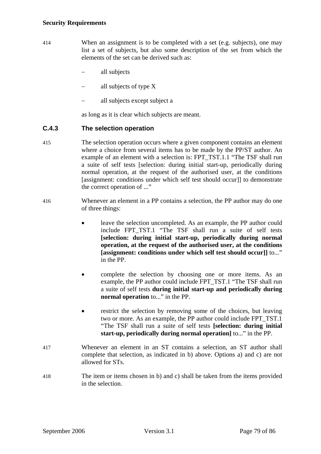- 414 When an assignment is to be completed with a set (e.g. subjects), one may list a set of subjects, but also some description of the set from which the elements of the set can be derived such as:
	- all subjects
	- − all subjects of type X
	- − all subjects except subject a

as long as it is clear which subjects are meant.

## **C.4.3 The selection operation**

- 415 The selection operation occurs where a given component contains an element where a choice from several items has to be made by the PP/ST author. An example of an element with a selection is: [FPT\\_TST.1.1](#page-85-0) "The TSF shall run a suite of self tests [selection: during initial start-up, periodically during normal operation, at the request of the authorised user, at the conditions [assignment: conditions under which self test should occur]] to demonstrate the correct operation of ..."
- 416 Whenever an element in a PP contains a selection, the PP author may do one of three things:
	- leave the selection uncompleted. As an example, the PP author could include [FPT\\_TST.1](#page-85-0) "The TSF shall run a suite of self tests **[selection: during initial start-up, periodically during normal operation, at the request of the authorised user, at the conditions [assignment: conditions under which self test should occur]]** to..." in the PP.
	- complete the selection by choosing one or more items. As an example, the PP author could include [FPT\\_TST.1](#page-85-0) "The TSF shall run a suite of self tests **during initial start-up and periodically during normal operation** to..." in the PP.
	- restrict the selection by removing some of the choices, but leaving two or more. As an example, the PP author could include [FPT\\_TST.1](#page-85-0) "The TSF shall run a suite of self tests **[selection: during initial start-up, periodically during normal operation]** to..." in the PP.
- 417 Whenever an element in an ST contains a selection, an ST author shall complete that selection, as indicated in b) above. Options a) and c) are not allowed for STs.
- 418 The item or items chosen in b) and c) shall be taken from the items provided in the selection.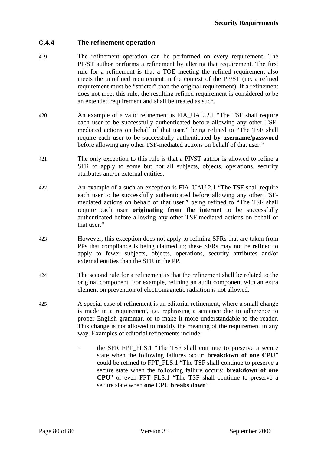## **C.4.4 The refinement operation**

- 419 The refinement operation can be performed on every requirement. The PP/ST author performs a refinement by altering that requirement. The first rule for a refinement is that a TOE meeting the refined requirement also meets the unrefined requirement in the context of the PP/ST (i.e. a refined requirement must be "stricter" than the original requirement). If a refinement does not meet this rule, the resulting refined requirement is considered to be an extended requirement and shall be treated as such.
- 420 An example of a valid refinement is [FIA\\_UAU.2.1](#page-85-1) "The TSF shall require each user to be successfully authenticated before allowing any other TSFmediated actions on behalf of that user." being refined to "The TSF shall require each user to be successfully authenticated **by username/password** before allowing any other TSF-mediated actions on behalf of that user."
- 421 The only exception to this rule is that a PP/ST author is allowed to refine a SFR to apply to some but not all subjects, objects, operations, security attributes and/or external entities.
- 422 An example of a such an exception is FIA UAU.2.1 "The TSF shall require each user to be successfully authenticated before allowing any other TSFmediated actions on behalf of that user." being refined to "The TSF shall require each user **originating from the internet** to be successfully authenticated before allowing any other TSF-mediated actions on behalf of that user."
- 423 However, this exception does not apply to refining SFRs that are taken from PPs that compliance is being claimed to; these SFRs may not be refined to apply to fewer subjects, objects, operations, security attributes and/or external entities than the SFR in the PP.
- 424 The second rule for a refinement is that the refinement shall be related to the original component. For example, refining an audit component with an extra element on prevention of electromagnetic radiation is not allowed.
- 425 A special case of refinement is an editorial refinement, where a small change is made in a requirement, i.e. rephrasing a sentence due to adherence to proper English grammar, or to make it more understandable to the reader. This change is not allowed to modify the meaning of the requirement in any way. Examples of editorial refinements include:
	- − the SFR [FPT\\_FLS.1](#page-85-0) "The TSF shall continue to preserve a secure state when the following failures occur: **breakdown of one CPU**" could be refined to [FPT\\_FLS.1](#page-85-0) "The TSF shall continue to preserve a secure state when the following failure occurs: **breakdown of one CPU**" or even [FPT\\_FLS.1](#page-85-0) "The TSF shall continue to preserve a secure state when **one CPU breaks down**"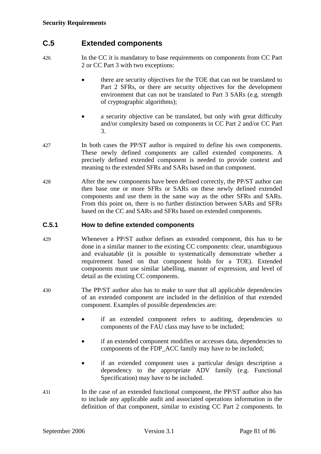# **C.5 Extended components**

426 In the CC it is mandatory to base requirements on components from CC Part 2 or CC Part 3 with two exceptions:

- there are security objectives for the TOE that can not be translated to Part 2 SFRs, or there are security objectives for the development environment that can not be translated to Part 3 SARs (e.g. strength of cryptographic algorithms);
- a security objective can be translated, but only with great difficulty and/or complexity based on components in CC Part 2 and/or CC Part 3.
- 427 In both cases the PP/ST author is required to define his own components. These newly defined components are called extended components. A precisely defined extended component is needed to provide context and meaning to the extended SFRs and SARs based on that component.
- 428 After the new components have been defined correctly, the PP/ST author can then base one or more SFRs or SARs on these newly defined extended components and use them in the same way as the other SFRs and SARs. From this point on, there is no further distinction between SARs and SFRs based on the CC and SARs and SFRs based on extended components.

## **C.5.1 How to define extended components**

- 429 Whenever a PP/ST author defines an extended component, this has to be done in a similar manner to the existing CC components: clear, unambiguous and evaluatable (it is possible to systematically demonstrate whether a requirement based on that component holds for a TOE). Extended components must use similar labelling, manner of expression, and level of detail as the existing CC components.
- 430 The PP/ST author also has to make to sure that all applicable dependencies of an extended component are included in the definition of that extended component. Examples of possible dependencies are:
	- if an extended component refers to auditing, dependencies to components of the [FAU](#page-85-0) class may have to be included;
	- if an extended component modifies or accesses data, dependencies to components of the [FDP\\_ACC](#page-85-0) family may have to be included;
	- if an extended component uses a particular design description a dependency to the appropriate [ADV](#page-85-0) family (e.g. Functional Specification) may have to be included.
- 431 In the case of an extended functional component, the PP/ST author also has to include any applicable audit and associated operations information in the definition of that component, similar to existing CC Part 2 components. In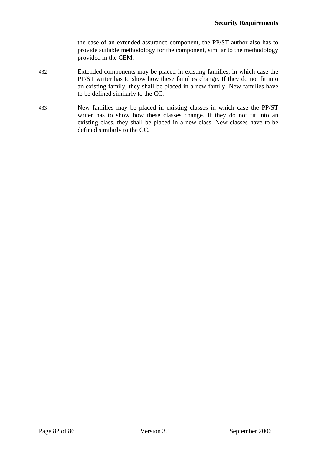the case of an extended assurance component, the PP/ST author also has to provide suitable methodology for the component, similar to the methodology provided in the [CEM.](#page-11-0)

- 432 Extended components may be placed in existing families, in which case the PP/ST writer has to show how these families change. If they do not fit into an existing family, they shall be placed in a new family. New families have to be defined similarly to the CC.
- 433 New families may be placed in existing classes in which case the PP/ST writer has to show how these classes change. If they do not fit into an existing class, they shall be placed in a new class. New classes have to be defined similarly to the CC.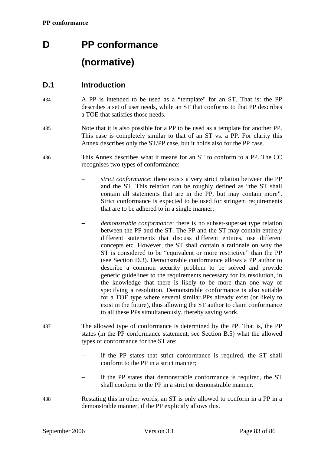# **D PP conformance (normative)**

# **D.1 Introduction**

- 434 A PP is intended to be used as a "template" for an ST. That is: the PP describes a set of user needs, while an ST that conforms to that PP describes a TOE that satisfies those needs.
- 435 Note that it is also possible for a PP to be used as a template for another PP. This case is completely similar to that of an ST vs. a PP. For clarity this Annex describes only the ST/PP case, but it holds also for the PP case.
- 436 This Annex describes what it means for an ST to conform to a PP. The CC recognises two types of conformance:
	- *strict conformance*: there exists a very strict relation between the PP and the ST. This relation can be roughly defined as "the ST shall contain all statements that are in the PP, but may contain more". Strict conformance is expected to be used for stringent requirements that are to be adhered to in a single manner;
	- *demonstrable conformance*: there is no subset-superset type relation between the PP and the ST. The PP and the ST may contain entirely different statements that discuss different entities, use different concepts etc. However, the ST shall contain a rationale on why the ST is considered to be "equivalent or more restrictive" than the PP (see Section [D.3](#page-84-0)). Demonstrable conformance allows a PP author to describe a common security problem to be solved and provide generic guidelines to the requirements necessary for its resolution, in the knowledge that there is likely to be more than one way of specifying a resolution. Demonstrable conformance is also suitable for a TOE type where several similar PPs already exist (or likely to exist in the future), thus allowing the ST author to claim conformance to all these PPs simultaneously, thereby saving work.
- 437 The allowed type of conformance is determined by the PP. That is, the PP states (in the PP conformance statement, see Section [B.5](#page-71-0)) what the allowed types of conformance for the ST are:
	- if the PP states that strict conformance is required, the ST shall conform to the PP in a strict manner;
	- if the PP states that demonstrable conformance is required, the ST shall conform to the PP in a strict or demonstrable manner.
- 438 Restating this in other words, an ST is only allowed to conform in a PP in a demonstrable manner, if the PP explicitly allows this.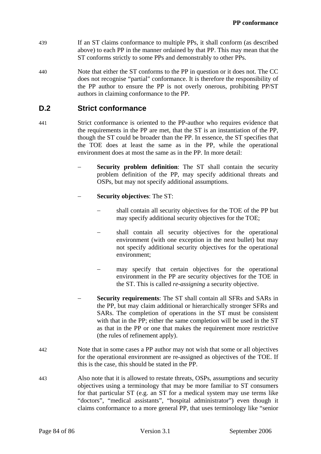- 439 If an ST claims conformance to multiple PPs, it shall conform (as described above) to each PP in the manner ordained by that PP. This may mean that the ST conforms strictly to some PPs and demonstrably to other PPs.
- 440 Note that either the ST conforms to the PP in question or it does not. The CC does not recognise "partial" conformance. It is therefore the responsibility of the PP author to ensure the PP is not overly onerous, prohibiting PP/ST authors in claiming conformance to the PP.

# **D.2 Strict conformance**

- 441 Strict conformance is oriented to the PP-author who requires evidence that the requirements in the PP are met, that the ST is an instantiation of the PP, though the ST could be broader than the PP. In essence, the ST specifies that the TOE does at least the same as in the PP, while the operational environment does at most the same as in the PP. In more detail:
	- **Security problem definition**: The ST shall contain the security problem definition of the PP, may specify additional threats and OSPs, but may not specify additional assumptions.
	- − **Security objectives**: The ST:
		- shall contain all security objectives for the TOE of the PP but may specify additional security objectives for the TOE;
		- shall contain all security objectives for the operational environment (with one exception in the next bullet) but may not specify additional security objectives for the operational environment;
		- may specify that certain objectives for the operational environment in the PP are security objectives for the TOE in the ST. This is called *re-assigning* a security objective.
	- **Security requirements:** The ST shall contain all SFRs and SARs in the PP, but may claim additional or hierarchically stronger SFRs and SARs. The completion of operations in the ST must be consistent with that in the PP; either the same completion will be used in the ST as that in the PP or one that makes the requirement more restrictive (the rules of refinement apply).
- 442 Note that in some cases a PP author may not wish that some or all objectives for the operational environment are re-assigned as objectives of the TOE. If this is the case, this should be stated in the PP.
- 443 Also note that it is allowed to restate threats, OSPs, assumptions and security objectives using a terminology that may be more familiar to ST consumers for that particular ST (e.g. an ST for a medical system may use terms like "doctors", "medical assistants", "hospital administrator") even though it claims conformance to a more general PP, that uses terminology like "senior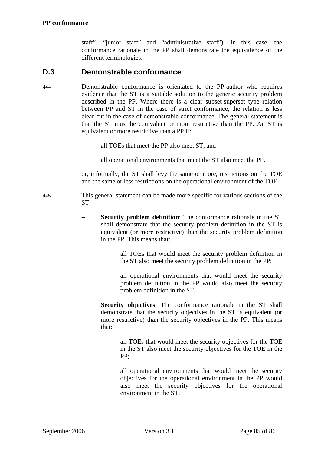staff", "junior staff" and "administrative staff"). In this case, the conformance rationale in the PP shall demonstrate the equivalence of the different terminologies.

# **D.3 Demonstrable conformance**

- <span id="page-84-0"></span>444 Demonstrable conformance is orientated to the PP-author who requires evidence that the ST is a suitable solution to the generic security problem described in the PP. Where there is a clear subset-superset type relation between PP and ST in the case of strict conformance, the relation is less clear-cut in the case of demonstrable conformance. The general statement is that the ST must be equivalent or more restrictive than the PP. An ST is equivalent or more restrictive than a PP if:
	- all TOEs that meet the PP also meet ST, and
	- − all operational environments that meet the ST also meet the PP.

or, informally, the ST shall levy the same or more, restrictions on the TOE and the same or less restrictions on the operational environment of the TOE.

445 This general statement can be made more specific for various sections of the ST:

- **Security problem definition**: The conformance rationale in the ST shall demonstrate that the security problem definition in the ST is equivalent (or more restrictive) than the security problem definition in the PP. This means that:
	- all TOEs that would meet the security problem definition in the ST also meet the security problem definition in the PP;
	- all operational environments that would meet the security problem definition in the PP would also meet the security problem definition in the ST.
- **Security objectives:** The conformance rationale in the ST shall demonstrate that the security objectives in the ST is equivalent (or more restrictive) than the security objectives in the PP. This means that:
	- all TOEs that would meet the security objectives for the TOE in the ST also meet the security objectives for the TOE in the PP;
	- all operational environments that would meet the security objectives for the operational environment in the PP would also meet the security objectives for the operational environment in the ST.